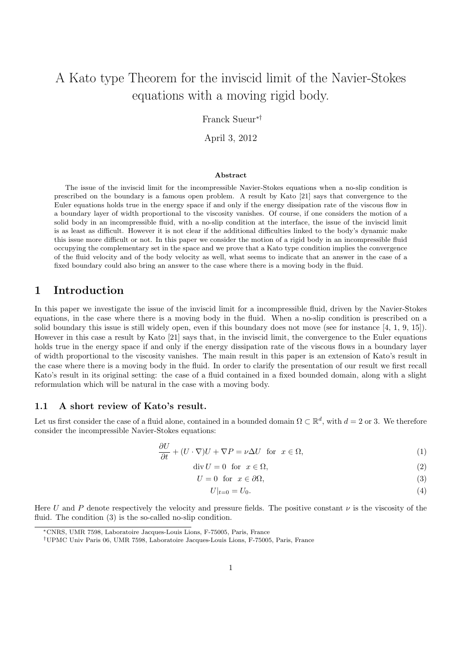# A Kato type Theorem for the inviscid limit of the Navier-Stokes equations with a moving rigid body.

Franck Sueur∗†

April 3, 2012

#### Abstract

The issue of the inviscid limit for the incompressible Navier-Stokes equations when a no-slip condition is prescribed on the boundary is a famous open problem. A result by Kato [21] says that convergence to the Euler equations holds true in the energy space if and only if the energy dissipation rate of the viscous flow in a boundary layer of width proportional to the viscosity vanishes. Of course, if one considers the motion of a solid body in an incompressible fluid, with a no-slip condition at the interface, the issue of the inviscid limit is as least as difficult. However it is not clear if the additional difficulties linked to the body's dynamic make this issue more difficult or not. In this paper we consider the motion of a rigid body in an incompressible fluid occupying the complementary set in the space and we prove that a Kato type condition implies the convergence of the fluid velocity and of the body velocity as well, what seems to indicate that an answer in the case of a fixed boundary could also bring an answer to the case where there is a moving body in the fluid.

### 1 Introduction

In this paper we investigate the issue of the inviscid limit for a incompressible fluid, driven by the Navier-Stokes equations, in the case where there is a moving body in the fluid. When a no-slip condition is prescribed on a solid boundary this issue is still widely open, even if this boundary does not move (see for instance [4, 1, 9, 15]). However in this case a result by Kato [21] says that, in the inviscid limit, the convergence to the Euler equations holds true in the energy space if and only if the energy dissipation rate of the viscous flows in a boundary layer of width proportional to the viscosity vanishes. The main result in this paper is an extension of Kato's result in the case where there is a moving body in the fluid. In order to clarify the presentation of our result we first recall Kato's result in its original setting: the case of a fluid contained in a fixed bounded domain, along with a slight reformulation which will be natural in the case with a moving body.

#### 1.1 A short review of Kato's result.

Let us first consider the case of a fluid alone, contained in a bounded domain  $\Omega \subset \mathbb{R}^d$ , with  $d = 2$  or 3. We therefore consider the incompressible Navier-Stokes equations:

$$
\frac{\partial U}{\partial t} + (U \cdot \nabla)U + \nabla P = \nu \Delta U \quad \text{for} \quad x \in \Omega,
$$
\n(1)

$$
\operatorname{div} U = 0 \quad \text{for} \quad x \in \Omega,\tag{2}
$$

$$
U = 0 \quad \text{for} \quad x \in \partial\Omega,\tag{3}
$$

$$
U|_{t=0} = U_0.
$$
\n<sup>(4)</sup>

Here U and P denote respectively the velocity and pressure fields. The positive constant  $\nu$  is the viscosity of the fluid. The condition (3) is the so-called no-slip condition.

<sup>∗</sup>CNRS, UMR 7598, Laboratoire Jacques-Louis Lions, F-75005, Paris, France

<sup>†</sup>UPMC Univ Paris 06, UMR 7598, Laboratoire Jacques-Louis Lions, F-75005, Paris, France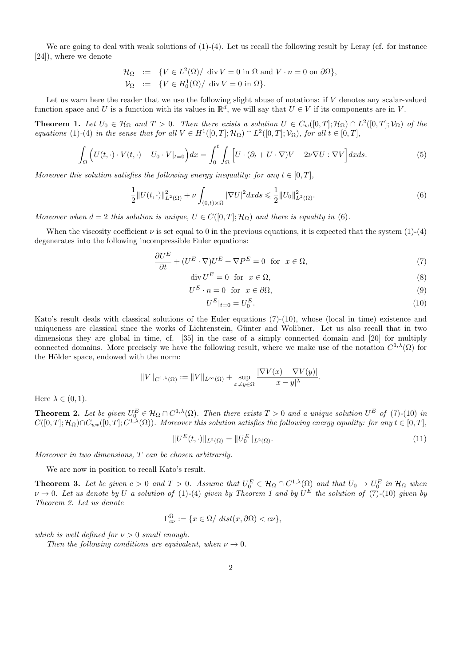We are going to deal with weak solutions of  $(1)-(4)$ . Let us recall the following result by Leray (cf. for instance [24]), where we denote

$$
\mathcal{H}_{\Omega} := \{ V \in L^2(\Omega) / \text{ div } V = 0 \text{ in } \Omega \text{ and } V \cdot n = 0 \text{ on } \partial\Omega \},
$$
  

$$
\mathcal{V}_{\Omega} := \{ V \in H_0^1(\Omega) / \text{ div } V = 0 \text{ in } \Omega \}.
$$

Let us warn here the reader that we use the following slight abuse of notations: if V denotes any scalar-valued function space and U is a function with its values in  $\mathbb{R}^d$ , we will say that  $U \in V$  if its components are in V.

**Theorem 1.** Let  $U_0 \in \mathcal{H}_{\Omega}$  and  $T > 0$ . Then there exists a solution  $U \in C_w([0,T]; \mathcal{H}_{\Omega}) \cap L^2([0,T]; \mathcal{V}_{\Omega})$  of the equations (1)-(4) in the sense that for all  $V \in H^1([0,T]; \mathcal{H}_\Omega) \cap L^2([0,T]; \mathcal{V}_\Omega)$ , for all  $t \in [0,T]$ ,

$$
\int_{\Omega} \left( U(t, \cdot) \cdot V(t, \cdot) - U_0 \cdot V|_{t=0} \right) dx = \int_0^t \int_{\Omega} \left[ U \cdot (\partial_t + U \cdot \nabla) V - 2\nu \nabla U : \nabla V \right] dx ds. \tag{5}
$$

Moreover this solution satisfies the following energy inequality: for any  $t \in [0, T]$ ,

$$
\frac{1}{2}||U(t,\cdot)||_{L^{2}(\Omega)}^{2} + \nu \int_{(0,t)\times\Omega} |\nabla U|^{2} dx ds \leq \frac{1}{2}||U_{0}||_{L^{2}(\Omega)}^{2}.
$$
\n(6)

Moreover when  $d = 2$  this solution is unique,  $U \in C([0, T]; \mathcal{H}_{\Omega})$  and there is equality in (6).

When the viscosity coefficient  $\nu$  is set equal to 0 in the previous equations, it is expected that the system (1)-(4) degenerates into the following incompressible Euler equations:

$$
\frac{\partial U^E}{\partial t} + (U^E \cdot \nabla) U^E + \nabla P^E = 0 \quad \text{for} \quad x \in \Omega,
$$
\n<sup>(7)</sup>

$$
\operatorname{div} U^E = 0 \quad \text{for} \quad x \in \Omega,\tag{8}
$$

$$
U^E \cdot n = 0 \quad \text{for} \quad x \in \partial \Omega,\tag{9}
$$

$$
U^E|_{t=0} = U_0^E. \tag{10}
$$

Kato's result deals with classical solutions of the Euler equations (7)-(10), whose (local in time) existence and uniqueness are classical since the works of Lichtenstein, G¨unter and Wolibner. Let us also recall that in two dimensions they are global in time, cf. [35] in the case of a simply connected domain and [20] for multiply connected domains. More precisely we have the following result, where we make use of the notation  $C^{1,\lambda}(\Omega)$  for the Hölder space, endowed with the norm:

$$
||V||_{C^{1,\lambda}(\Omega)} := ||V||_{L^{\infty}(\Omega)} + \sup_{x \neq y \in \Omega} \frac{|\nabla V(x) - \nabla V(y)|}{|x - y|^{\lambda}}.
$$

Here  $\lambda \in (0,1)$ .

**Theorem 2.** Let be given  $U_0^E \in \mathcal{H}_\Omega \cap C^{1,\lambda}(\Omega)$ . Then there exists  $T > 0$  and a unique solution  $U^E$  of (7)-(10) in  $C([0,T];\mathcal{H}_\Omega)\cap C_{w*}([0,T];C^{1,\lambda}(\Omega))$ . Moreover this solution satisfies the following energy equality: for any  $t\in[0,T]$ ,

$$
||U^{E}(t,\cdot)||_{L^{2}(\Omega)} = ||U_{0}^{E}||_{L^{2}(\Omega)}.
$$
\n(11)

Moreover in two dimensions, T can be chosen arbitrarily.

We are now in position to recall Kato's result.

**Theorem 3.** Let be given  $c > 0$  and  $T > 0$ . Assume that  $U_0^E \in H_\Omega \cap C^{1,\lambda}(\Omega)$  and that  $U_0 \to U_0^E$  in  $H_\Omega$  when  $\nu \to 0$ . Let us denote by U a solution of (1)-(4) given by Theorem 1 and by  $U^E$  the solution of (7)-(10) given by Theorem 2. Let us denote

$$
\Gamma_{c\nu}^{\Omega} := \{ x \in \Omega / \ dist(x, \partial \Omega) < c\nu \},
$$

which is well defined for  $\nu > 0$  small enough.

Then the following conditions are equivalent, when  $\nu \rightarrow 0$ .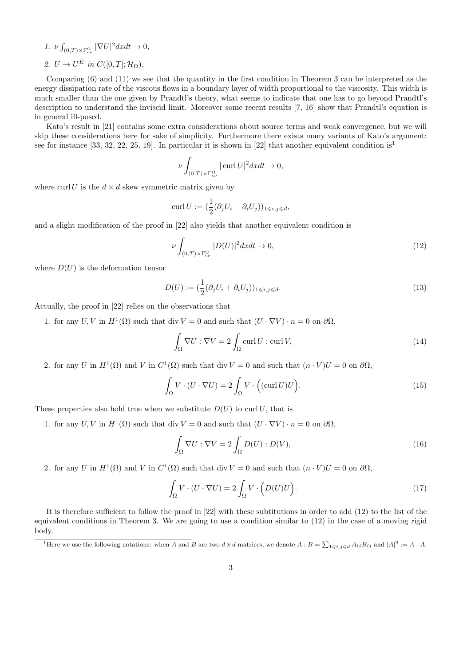- 1.  $\nu \int_{(0,T)\times\Gamma_{cv}^{\Omega}} |\nabla U|^2 dxdt \to 0,$
- 2.  $U \to U^E$  in  $C([0,T]; \mathcal{H}_\Omega)$ .

Comparing (6) and (11) we see that the quantity in the first condition in Theorem 3 can be interpreted as the energy dissipation rate of the viscous flows in a boundary layer of width proportional to the viscosity. This width is much smaller than the one given by Prandtl's theory, what seems to indicate that one has to go beyond Prandtl's description to understand the inviscid limit. Moreover some recent results [7, 16] show that Prandtl's equation is in general ill-posed.

Kato's result in [21] contains some extra considerations about source terms and weak convergence, but we will skip these considerations here for sake of simplicity. Furthermore there exists many variants of Kato's argument: see for instance [33, 32, 22, 25, 19]. In particular it is shown in [22] that another equivalent condition is<sup>1</sup>

$$
\nu \int_{(0,T)\times\Gamma_{c\nu}^{\Omega}} |\operatorname{curl} U|^2 dxdt \to 0,
$$

where curl U is the  $d \times d$  skew symmetric matrix given by

$$
\operatorname{curl} U := \left(\frac{1}{2}(\partial_j U_i - \partial_i U_j)\right)_{1 \leq i,j \leq d},
$$

and a slight modification of the proof in [22] also yields that another equivalent condition is

$$
\nu \int_{(0,T)\times\Gamma_{c\nu}^{\Omega}} |D(U)|^2 dx dt \to 0,
$$
\n(12)

where  $D(U)$  is the deformation tensor

$$
D(U) := \left(\frac{1}{2}(\partial_j U_i + \partial_i U_j)\right)_{1 \leqslant i,j \leqslant d}.\tag{13}
$$

Actually, the proof in [22] relies on the observations that

1. for any  $U, V$  in  $H^1(\Omega)$  such that div  $V = 0$  and such that  $(U \cdot \nabla V) \cdot n = 0$  on  $\partial \Omega$ ,

$$
\int_{\Omega} \nabla U : \nabla V = 2 \int_{\Omega} \operatorname{curl} U : \operatorname{curl} V,\tag{14}
$$

2. for any U in  $H^1(\Omega)$  and V in  $C^1(\Omega)$  such that div  $V = 0$  and such that  $(n \cdot V)U = 0$  on  $\partial\Omega$ ,

$$
\int_{\Omega} V \cdot (U \cdot \nabla U) = 2 \int_{\Omega} V \cdot \left( (\text{curl } U) U \right). \tag{15}
$$

These properties also hold true when we substitute  $D(U)$  to curl U, that is

1. for any  $U, V$  in  $H^1(\Omega)$  such that div  $V = 0$  and such that  $(U \cdot \nabla V) \cdot n = 0$  on  $\partial \Omega$ ,

$$
\int_{\Omega} \nabla U : \nabla V = 2 \int_{\Omega} D(U) : D(V),\tag{16}
$$

2. for any U in  $H^1(\Omega)$  and V in  $C^1(\Omega)$  such that div  $V = 0$  and such that  $(n \cdot V)U = 0$  on  $\partial\Omega$ ,

$$
\int_{\Omega} V \cdot (U \cdot \nabla U) = 2 \int_{\Omega} V \cdot \left( D(U)U \right). \tag{17}
$$

It is therefore sufficient to follow the proof in [22] with these subtitutions in order to add (12) to the list of the equivalent conditions in Theorem 3. We are going to use a condition similar to (12) in the case of a moving rigid body.

<sup>&</sup>lt;sup>1</sup>Here we use the following notations: when A and B are two  $d \times d$  matrices, we denote  $A : B = \sum_{1 \leq i,j \leq d} A_{ij} B_{ij}$  and  $|A|^2 := A : A$ .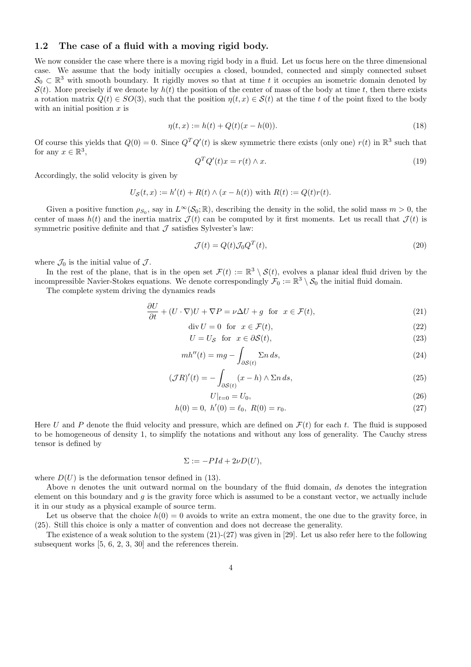#### 1.2 The case of a fluid with a moving rigid body.

We now consider the case where there is a moving rigid body in a fluid. Let us focus here on the three dimensional case. We assume that the body initially occupies a closed, bounded, connected and simply connected subset  $S_0 \subset \mathbb{R}^3$  with smooth boundary. It rigidly moves so that at time t it occupies an isometric domain denoted by  $S(t)$ . More precisely if we denote by  $h(t)$  the position of the center of mass of the body at time t, then there exists a rotation matrix  $Q(t) \in SO(3)$ , such that the position  $\eta(t, x) \in S(t)$  at the time t of the point fixed to the body with an initial position  $x$  is

$$
\eta(t, x) := h(t) + Q(t)(x - h(0)).\tag{18}
$$

Of course this yields that  $Q(0) = 0$ . Since  $Q^T Q'(t)$  is skew symmetric there exists (only one)  $r(t)$  in  $\mathbb{R}^3$  such that for any  $x \in \mathbb{R}^3$ ,

$$
Q^T Q'(t)x = r(t) \wedge x. \tag{19}
$$

Accordingly, the solid velocity is given by

$$
U_{\mathcal{S}}(t, x) := h'(t) + R(t) \wedge (x - h(t)) \text{ with } R(t) := Q(t)r(t).
$$

Given a positive function  $\rho_{S_0}$ , say in  $L^{\infty}(\mathcal{S}_0;\mathbb{R})$ , describing the density in the solid, the solid mass  $m > 0$ , the center of mass  $h(t)$  and the inertia matrix  $\mathcal{J}(t)$  can be computed by it first moments. Let us recall that  $\mathcal{J}(t)$  is symmetric positive definite and that  $\mathcal J$  satisfies Sylvester's law:

$$
\mathcal{J}(t) = Q(t)\mathcal{J}_0 Q^T(t),\tag{20}
$$

where  $\mathcal{J}_0$  is the initial value of  $\mathcal{J}$ .

In the rest of the plane, that is in the open set  $\mathcal{F}(t) := \mathbb{R}^3 \setminus \mathcal{S}(t)$ , evolves a planar ideal fluid driven by the incompressible Navier-Stokes equations. We denote correspondingly  $\mathcal{F}_0 := \mathbb{R}^3 \setminus \mathcal{S}_0$  the initial fluid domain.

The complete system driving the dynamics reads

 $\sim$ 

$$
\frac{\partial U}{\partial t} + (U \cdot \nabla)U + \nabla P = \nu \Delta U + g \text{ for } x \in \mathcal{F}(t),\tag{21}
$$

$$
\operatorname{div} U = 0 \quad \text{for} \quad x \in \mathcal{F}(t),\tag{22}
$$

$$
U = U_{\mathcal{S}} \quad \text{for} \quad x \in \partial \mathcal{S}(t), \tag{23}
$$

$$
mh''(t) = mg - \int_{\partial S(t)} \Sigma n \, ds,\tag{24}
$$

$$
(\mathcal{J}R)'(t) = -\int_{\partial \mathcal{S}(t)} (x - h) \wedge \Sigma n \, ds,\tag{25}
$$

$$
U|_{t=0} = U_0,\t\t(26)
$$

$$
h(0) = 0, \ h'(0) = \ell_0, \ R(0) = r_0. \tag{27}
$$

Here U and P denote the fluid velocity and pressure, which are defined on  $\mathcal{F}(t)$  for each t. The fluid is supposed to be homogeneous of density 1, to simplify the notations and without any loss of generality. The Cauchy stress tensor is defined by

$$
\Sigma := -PId + 2\nu D(U),
$$

where  $D(U)$  is the deformation tensor defined in (13).

Above  $n$  denotes the unit outward normal on the boundary of the fluid domain, ds denotes the integration element on this boundary and  $g$  is the gravity force which is assumed to be a constant vector, we actually include it in our study as a physical example of source term.

Let us observe that the choice  $h(0) = 0$  avoids to write an extra moment, the one due to the gravity force, in (25). Still this choice is only a matter of convention and does not decrease the generality.

The existence of a weak solution to the system (21)-(27) was given in [29]. Let us also refer here to the following subsequent works [5, 6, 2, 3, 30] and the references therein.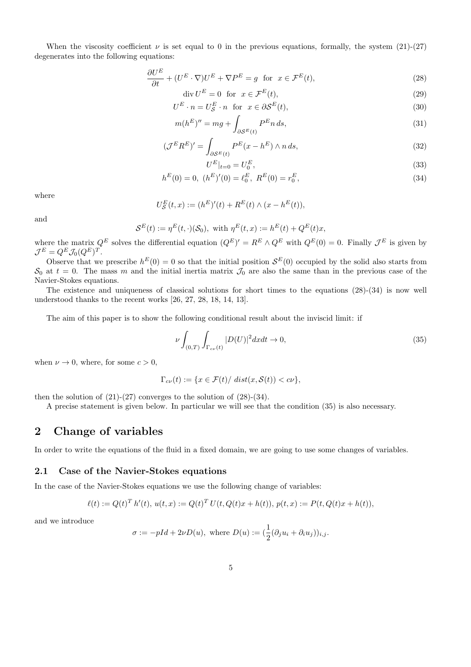When the viscosity coefficient  $\nu$  is set equal to 0 in the previous equations, formally, the system (21)-(27) degenerates into the following equations:

$$
\frac{\partial U^E}{\partial t} + (U^E \cdot \nabla) U^E + \nabla P^E = g \text{ for } x \in \mathcal{F}^E(t),\tag{28}
$$

$$
\operatorname{div} U^E = 0 \quad \text{for} \quad x \in \mathcal{F}^E(t),\tag{29}
$$

$$
U^{E} \cdot n = U_{\mathcal{S}}^{E} \cdot n \quad \text{for} \quad x \in \partial \mathcal{S}^{E}(t), \tag{30}
$$

$$
m(h^E)'' = mg + \int_{\partial \mathcal{S}^E(t)} P^E n \, ds,\tag{31}
$$

$$
(\mathcal{J}^E R^E)' = \int_{\partial \mathcal{S}^E(t)} P^E(x - h^E) \wedge n \, ds,\tag{32}
$$

$$
U^E|_{t=0} = U_0^E,\tag{33}
$$

$$
h^{E}(0) = 0, \ (h^{E})'(0) = \ell_0^{E}, \ R^{E}(0) = r_0^{E}, \tag{34}
$$

where

$$
U_{\mathcal{S}}^{E}(t,x) := (h^{E})'(t) + R^{E}(t) \wedge (x - h^{E}(t)),
$$

and

$$
\mathcal{S}^E(t) := \eta^E(t, \cdot)(\mathcal{S}_0), \text{ with } \eta^E(t, x) := h^E(t) + Q^E(t)x,
$$

where the matrix  $Q^E$  solves the differential equation  $(Q^E)' = R^E \wedge Q^E$  with  $Q^E(0) = 0$ . Finally  $\mathcal{J}^E$  is given by  $\mathcal{J}^E=Q^E\mathcal{J}_0(Q^E)^T.$ 

Observe that we prescribe  $h^{E}(0) = 0$  so that the initial position  $\mathcal{S}^{E}(0)$  occupied by the solid also starts from  $S_0$  at  $t = 0$ . The mass m and the initial inertia matrix  $\mathcal{J}_0$  are also the same than in the previous case of the Navier-Stokes equations.

The existence and uniqueness of classical solutions for short times to the equations (28)-(34) is now well understood thanks to the recent works [26, 27, 28, 18, 14, 13].

The aim of this paper is to show the following conditional result about the inviscid limit: if

$$
\nu \int_{(0,T)} \int_{\Gamma_{c\nu}(t)} |D(U)|^2 dx dt \to 0,
$$
\n(35)

when  $\nu \to 0$ , where, for some  $c > 0$ ,

$$
\Gamma_{c\nu}(t) := \{ x \in \mathcal{F}(t) / \ dist(x, \mathcal{S}(t)) < c\nu \},
$$

then the solution of  $(21)-(27)$  converges to the solution of  $(28)-(34)$ .

A precise statement is given below. In particular we will see that the condition (35) is also necessary.

## 2 Change of variables

In order to write the equations of the fluid in a fixed domain, we are going to use some changes of variables.

#### 2.1 Case of the Navier-Stokes equations

In the case of the Navier-Stokes equations we use the following change of variables:

$$
\ell(t) := Q(t)^T h'(t), \, u(t, x) := Q(t)^T U(t, Q(t)x + h(t)), \, p(t, x) := P(t, Q(t)x + h(t)),
$$

and we introduce

$$
\sigma := -pId + 2\nu D(u), \text{ where } D(u) := (\frac{1}{2}(\partial_j u_i + \partial_i u_j))_{i,j}.
$$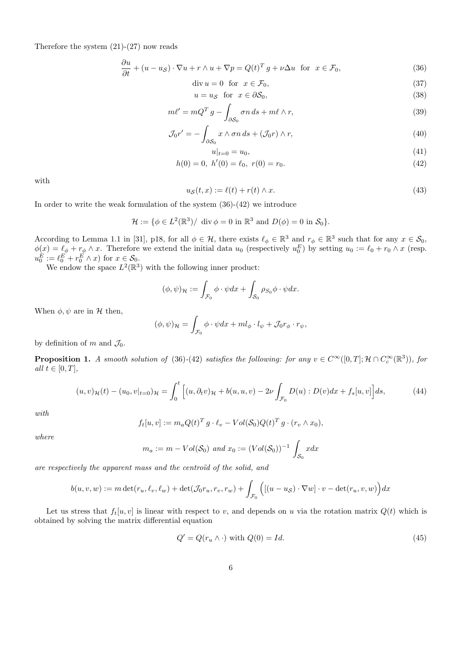Therefore the system  $(21)-(27)$  now reads

$$
\frac{\partial u}{\partial t} + (u - u_S) \cdot \nabla u + r \wedge u + \nabla p = Q(t)^T g + \nu \Delta u \text{ for } x \in \mathcal{F}_0,
$$
\n(36)

$$
\operatorname{div} u = 0 \quad \text{for} \quad x \in \mathcal{F}_0,\tag{37}
$$

$$
u = u_{\mathcal{S}} \quad \text{for} \quad x \in \partial \mathcal{S}_0,\tag{38}
$$

$$
m\ell' = mQ^T g - \int_{\partial S_0} \sigma n \, ds + m\ell \wedge r,\tag{39}
$$

$$
\mathcal{J}_0 r' = -\int_{\partial \mathcal{S}_0} x \wedge \sigma n \, ds + (\mathcal{J}_0 r) \wedge r,\tag{40}
$$

$$
u|_{t=0} = u_0,
$$
  
(41)  

$$
h(0) = 0, h'(0) = \ell_0, r(0) = r_0.
$$

with

$$
u_{\mathcal{S}}(t,x) := \ell(t) + r(t) \wedge x. \tag{43}
$$

In order to write the weak formulation of the system  $(36)-(42)$  we introduce

$$
\mathcal{H} := \{ \phi \in L^2(\mathbb{R}^3) / \text{ div } \phi = 0 \text{ in } \mathbb{R}^3 \text{ and } D(\phi) = 0 \text{ in } \mathcal{S}_0 \}.
$$

According to Lemma 1.1 in [31], p18, for all  $\phi \in \mathcal{H}$ , there exists  $\ell_{\phi} \in \mathbb{R}^{3}$  and  $r_{\phi} \in \mathbb{R}^{3}$  such that for any  $x \in \mathcal{S}_{0}$ ,  $\phi(x) = \ell_{\phi} + r_{\phi} \wedge x$ . Therefore we extend the initial data  $u_0$  (respectively  $u_0^E$ ) by setting  $u_0 := \ell_0 + r_0 \wedge x$  (resp.  $u_0^E := \ell_0^E + r_0^E \wedge x$  for  $x \in \mathcal{S}_0$ .

We endow the space  $L^2(\mathbb{R}^3)$  with the following inner product:

$$
(\phi, \psi)_{\mathcal{H}} := \int_{\mathcal{F}_0} \phi \cdot \psi dx + \int_{\mathcal{S}_0} \rho_{\mathcal{S}_0} \phi \cdot \psi dx.
$$

When  $\phi, \psi$  are in H then,

$$
(\phi, \psi)_{\mathcal{H}} = \int_{\mathcal{F}_0} \phi \cdot \psi dx + m l_{\phi} \cdot l_{\psi} + \mathcal{J}_0 r_{\phi} \cdot r_{\psi},
$$

by definition of m and  $\mathcal{J}_0$ .

**Proposition 1.** A smooth solution of (36)-(42) satisfies the following: for any  $v \in C^{\infty}([0,T]; \mathcal{H} \cap C_c^{\infty}(\mathbb{R}^3))$ , for all  $t \in [0, T]$ ,

$$
(u,v)_{\mathcal{H}}(t) - (u_0,v|_{t=0})_{\mathcal{H}} = \int_0^t \left[ (u,\partial_t v)_{\mathcal{H}} + b(u,u,v) - 2\nu \int_{\mathcal{F}_0} D(u) : D(v)dx + f_s[u,v] \right] ds,
$$
 (44)

with

$$
f_t[u, v] := m_a Q(t)^T g \cdot \ell_v - Vol(S_0) Q(t)^T g \cdot (r_v \wedge x_0),
$$

where

$$
m_a := m - Vol(S_0)
$$
 and  $x_0 := (Vol(S_0))^{-1} \int_{S_0} x dx$ 

are respectively the apparent mass and the centroïd of the solid, and

$$
b(u, v, w) := m \det(r_u, \ell_v, \ell_w) + \det(\mathcal{J}_0 r_u, r_v, r_w) + \int_{\mathcal{F}_0} \Big( \big[ (u - u_{\mathcal{S}}) \cdot \nabla w \big] \cdot v - \det(r_u, v, w) \Big) dx
$$

Let us stress that  $f_t[u, v]$  is linear with respect to v, and depends on u via the rotation matrix  $Q(t)$  which is obtained by solving the matrix differential equation

$$
Q' = Q(r_u \wedge \cdot) \text{ with } Q(0) = Id. \tag{45}
$$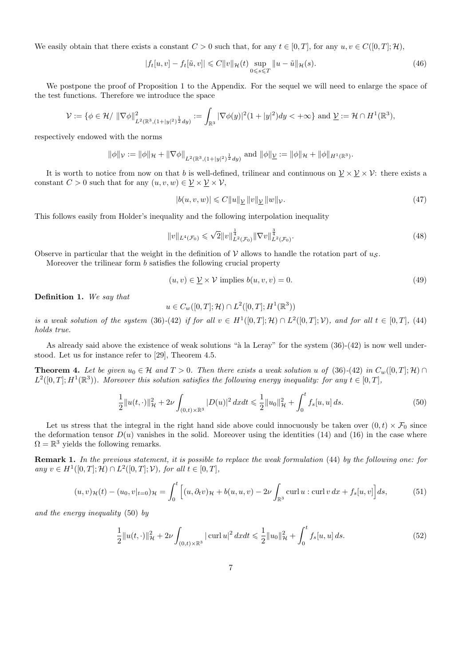We easily obtain that there exists a constant  $C > 0$  such that, for any  $t \in [0, T]$ , for any  $u, v \in C([0, T]; \mathcal{H})$ ,

$$
|f_t[u, v] - f_t[\tilde{u}, v]| \leq C ||v||_{\mathcal{H}}(t) \sup_{0 \leq s \leq T} ||u - \tilde{u}||_{\mathcal{H}}(s).
$$
 (46)

We postpone the proof of Proposition 1 to the Appendix. For the sequel we will need to enlarge the space of the test functions. Therefore we introduce the space

$$
\mathcal{V} := \{ \phi \in \mathcal{H} / \| \nabla \phi \|^2_{L^2(\mathbb{R}^3, (1+|y|^2)^{\frac{1}{2}}dy)} := \int_{\mathbb{R}^3} |\nabla \phi(y)|^2 (1+|y|^2) dy < +\infty \} \text{ and } \underline{\mathcal{V}} := \mathcal{H} \cap H^1(\mathbb{R}^3),
$$

respectively endowed with the norms

 $\|\phi\|_{\mathcal{V}} := \|\phi\|_{\mathcal{H}} + \|\nabla\phi\|_{L^2(\mathbb{R}^3, (1+|y|^2)^{\frac{1}{2}}dy)}$  and  $\|\phi\|_{\underline{\mathcal{V}}} := \|\phi\|_{\mathcal{H}} + \|\phi\|_{H^1(\mathbb{R}^3)}$ .

It is worth to notice from now on that b is well-defined, trilinear and continuous on  $\mathcal{V} \times \mathcal{V} \times \mathcal{V}$ : there exists a constant  $C > 0$  such that for any  $(u, v, w) \in \underline{\mathcal{V}} \times \underline{\mathcal{V}} \times \mathcal{V}$ ,

$$
|b(u, v, w)| \leqslant C \|u\|_{\mathcal{V}} \|v\|_{\mathcal{V}} \|w\|_{\mathcal{V}}.
$$
\n
$$
(47)
$$

This follows easily from Holder's inequality and the following interpolation inequality

$$
||v||_{L^{4}(\mathcal{F}_{0})} \leqslant \sqrt{2}||v||_{L^{2}(\mathcal{F}_{0})}^{\frac{1}{4}}||\nabla v||_{L^{2}(\mathcal{F}_{0})}^{\frac{3}{4}}.
$$
\n(48)

Observe in particular that the weight in the definition of  $V$  allows to handle the rotation part of  $u<sub>S</sub>$ .

Moreover the trilinear form b satisfies the following crucial property

$$
(u, v) \in \underline{\mathcal{V}} \times \mathcal{V} \text{ implies } b(u, v, v) = 0. \tag{49}
$$

Definition 1. We say that

$$
u \in C_w([0,T]; \mathcal{H}) \cap L^2([0,T]; H^1(\mathbb{R}^3))
$$

is a weak solution of the system (36)-(42) if for all  $v \in H^1([0,T];\mathcal{H}) \cap L^2([0,T];\mathcal{V})$ , and for all  $t \in [0,T]$ , (44) holds true.

As already said above the existence of weak solutions " $\hat{a}$  la Leray" for the system (36)-(42) is now well understood. Let us for instance refer to [29], Theorem 4.5.

**Theorem 4.** Let be given  $u_0 \in \mathcal{H}$  and  $T > 0$ . Then there exists a weak solution u of (36)-(42) in  $C_w([0,T]; \mathcal{H}) \cap$  $L^2([0,T];H^1(\mathbb{R}^3))$ . Moreover this solution satisfies the following energy inequality: for any  $t \in [0,T]$ ,

$$
\frac{1}{2}||u(t,\cdot)||_{\mathcal{H}}^2 + 2\nu \int_{(0,t)\times\mathbb{R}^3} |D(u)|^2 \, dx dt \leq \frac{1}{2}||u_0||_{\mathcal{H}}^2 + \int_0^t f_s[u,u] \, ds. \tag{50}
$$

Let us stress that the integral in the right hand side above could innocuously be taken over  $(0, t) \times \mathcal{F}_0$  since the deformation tensor  $D(u)$  vanishes in the solid. Moreover using the identities (14) and (16) in the case where  $\Omega = \mathbb{R}^3$  yields the following remarks.

Remark 1. In the previous statement, it is possible to replace the weak formulation (44) by the following one: for any v ∈  $H^1([0, T]; \mathcal{H}) \cap L^2([0, T]; \mathcal{V})$ , for all  $t \in [0, T]$ ,

$$
(u,v)_{\mathcal{H}}(t) - (u_0, v|_{t=0})_{\mathcal{H}} = \int_0^t \left[ (u, \partial_t v)_{\mathcal{H}} + b(u, u, v) - 2\nu \int_{\mathbb{R}^3} \operatorname{curl} u : \operatorname{curl} v \, dx + f_s[u, v] \right] ds, \tag{51}
$$

and the energy inequality (50) by

$$
\frac{1}{2}||u(t, \cdot)||_{\mathcal{H}}^2 + 2\nu \int_{(0,t)\times\mathbb{R}^3} |\operatorname{curl} u|^2 dx dt \le \frac{1}{2}||u_0||_{\mathcal{H}}^2 + \int_0^t f_s[u, u] ds. \tag{52}
$$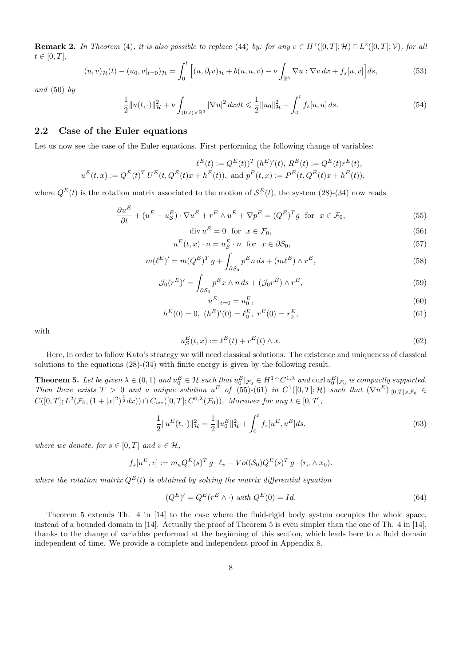**Remark 2.** In Theorem (4), it is also possible to replace (44) by: for any  $v \in H^1([0,T];\mathcal{H}) \cap L^2([0,T];\mathcal{V})$ , for all  $t\in[0,T],$ 

$$
(u,v)_{\mathcal{H}}(t) - (u_0, v|_{t=0})_{\mathcal{H}} = \int_0^t \left[ (u, \partial_t v)_{\mathcal{H}} + b(u, u, v) - \nu \int_{\mathbb{R}^3} \nabla u : \nabla v \, dx + f_s[u, v] \right] ds,
$$
 (53)

and  $(50)$  by

$$
\frac{1}{2}||u(t, \cdot)||_{\mathcal{H}}^2 + \nu \int_{(0,t)\times\mathbb{R}^3} |\nabla u|^2 dx dt \leq \frac{1}{2}||u_0||_{\mathcal{H}}^2 + \int_0^t f_s[u, u] ds.
$$
\n(54)

### 2.2 Case of the Euler equations

Let us now see the case of the Euler equations. First performing the following change of variables:

$$
\ell^{E}(t) := Q^{E}(t))^{T} (h^{E})'(t), R^{E}(t) := Q^{E}(t)r^{E}(t),
$$
  

$$
u^{E}(t,x) := Q^{E}(t)^{T} U^{E}(t, Q^{E}(t)x + h^{E}(t)), \text{ and } p^{E}(t,x) := P^{E}(t, Q^{E}(t)x + h^{E}(t)),
$$

where  $Q^{E}(t)$  is the rotation matrix associated to the motion of  $\mathcal{S}^{E}(t)$ , the system (28)-(34) now reads

$$
\frac{\partial u^E}{\partial t} + (u^E - u^E_{\mathcal{S}}) \cdot \nabla u^E + r^E \wedge u^E + \nabla p^E = (Q^E)^T g \text{ for } x \in \mathcal{F}_0,
$$
\n
$$
(55)
$$

$$
\operatorname{div} u^E = 0 \quad \text{for} \quad x \in \mathcal{F}_0,\tag{56}
$$

$$
u^{E}(t,x) \cdot n = u^{E}_{\mathcal{S}} \cdot n \quad \text{for} \quad x \in \partial \mathcal{S}_{0},\tag{57}
$$

$$
m(\ell^E)' = m(Q^E)^T g + \int_{\partial S_0} p^E n \, ds + (m\ell^E) \wedge r^E,\tag{58}
$$

$$
\mathcal{J}_0(r^E)' = \int_{\partial S_0} p^E x \wedge n \, ds + (\mathcal{J}_0 r^E) \wedge r^E,\tag{59}
$$

$$
u^E|_{t=0} = u_0^E,\t\t(60)
$$

$$
h^{E}(0) = 0, \ (h^{E})'(0) = \ell_0^{E}, \ r^{E}(0) = r_0^{E}, \tag{61}
$$

with

$$
u_S^E(t, x) := \ell^E(t) + r^E(t) \wedge x.
$$
\n
$$
(62)
$$

Here, in order to follow Kato's strategy we will need classical solutions. The existence and uniqueness of classical solutions to the equations (28)-(34) with finite energy is given by the following result.

**Theorem 5.** Let be given  $\lambda \in (0,1)$  and  $u_0^E \in \mathcal{H}$  such that  $u_0^E|_{\mathcal{F}_0} \in H^1 \cap C^{1,\lambda}$  and  $\text{curl } u_0^E|_{\mathcal{F}_0}$  is compactly supported. Then there exists  $T > 0$  and a unique solution  $u^E$  of (55)-(61) in  $C^1([0,T];\mathcal{H})$  such that  $(\nabla u^E)|_{[0,T]\times\mathcal{F}_0} \in$  $C([0,T]; L^2(\mathcal{F}_0, (1+|x|^2)^{\frac{1}{2}}dx)) \cap C_{w*}([0,T]; C^{0,\lambda}(\mathcal{F}_0))$ . Moreover for any  $t \in [0,T]$ ,

$$
\frac{1}{2}||u^{E}(t,\cdot)||_{\mathcal{H}}^{2} = \frac{1}{2}||u_{0}^{E}||_{\mathcal{H}}^{2} + \int_{0}^{t} f_{s}[u^{E},u^{E}]ds,
$$
\n(63)

where we denote, for  $s \in [0, T]$  and  $v \in \mathcal{H}$ ,

$$
f_s[u^E, v] := m_a Q^E(s)^T g \cdot \ell_v - Vol(S_0) Q^E(s)^T g \cdot (r_v \wedge x_0).
$$

where the rotation matrix  $Q^{E}(t)$  is obtained by solving the matrix differential equation

$$
(QE)' = QE(rE \wedge \cdot) with QE(0) = Id.
$$
\n(64)

Theorem 5 extends Th. 4 in [14] to the case where the fluid-rigid body system occupies the whole space, instead of a bounded domain in [14]. Actually the proof of Theorem 5 is even simpler than the one of Th. 4 in [14], thanks to the change of variables performed at the beginning of this section, which leads here to a fluid domain independent of time. We provide a complete and independent proof in Appendix 8.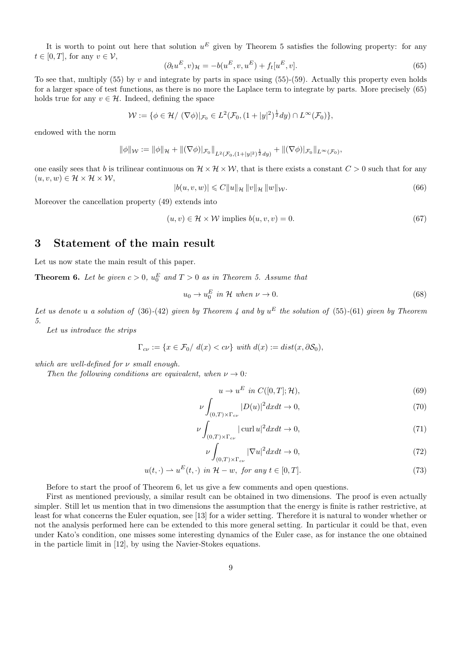It is worth to point out here that solution  $u^E$  given by Theorem 5 satisfies the following property: for any  $t \in [0, T]$ , for any  $v \in \mathcal{V}$ ,

$$
(\partial_t u^E, v)_{\mathcal{H}} = -b(u^E, v, u^E) + f_t[u^E, v].
$$
\n(65)

To see that, multiply (55) by v and integrate by parts in space using (55)-(59). Actually this property even holds for a larger space of test functions, as there is no more the Laplace term to integrate by parts. More precisely (65) holds true for any  $v \in \mathcal{H}$ . Indeed, defining the space

$$
\mathcal{W} := \{ \phi \in \mathcal{H} / (\nabla \phi) |_{\mathcal{F}_0} \in L^2(\mathcal{F}_0, (1+|y|^2)^{\frac{1}{2}}dy) \cap L^{\infty}(\mathcal{F}_0) \},
$$

endowed with the norm

$$
\|\phi\|_{\mathcal{W}} := \|\phi\|_{\mathcal{H}} + \|(\nabla\phi)|_{\mathcal{F}_0}\|_{L^2(\mathcal{F}_0,(1+|y|^2)^{\frac{1}{2}}dy)} + \|(\nabla\phi)|_{\mathcal{F}_0}\|_{L^\infty(\mathcal{F}_0)},
$$

one easily sees that b is trilinear continuous on  $\mathcal{H} \times \mathcal{H} \times \mathcal{W}$ , that is there exists a constant  $C > 0$  such that for any  $(u, v, w) \in \mathcal{H} \times \mathcal{H} \times \mathcal{W}$ ,

$$
|b(u, v, w)| \leq C \|u\|_{\mathcal{H}} \|v\|_{\mathcal{H}} \|w\|_{\mathcal{W}}.
$$
\n(66)

Moreover the cancellation property (49) extends into

$$
(u, v) \in \mathcal{H} \times \mathcal{W} \text{ implies } b(u, v, v) = 0. \tag{67}
$$

### 3 Statement of the main result

Let us now state the main result of this paper.

**Theorem 6.** Let be given  $c > 0$ ,  $u_0^E$  and  $T > 0$  as in Theorem 5. Assume that

$$
u_0 \to u_0^E \text{ in } \mathcal{H} \text{ when } \nu \to 0. \tag{68}
$$

Let us denote u a solution of (36)-(42) given by Theorem 4 and by  $u^E$  the solution of (55)-(61) given by Theorem 5.

Let us introduce the strips

$$
\Gamma_{c\nu} := \{ x \in \mathcal{F}_0 / \ d(x) < c\nu \} \ with \ d(x) := dist(x, \partial \mathcal{S}_0),
$$

which are well-defined for  $\nu$  small enough.

Then the following conditions are equivalent, when  $\nu \rightarrow 0$ :

$$
u \to u^E \text{ in } C([0, T]; \mathcal{H}), \tag{69}
$$

$$
\nu \int_{(0,T)\times\Gamma_{c\nu}} |D(u)|^2 dx dt \to 0,
$$
\n(70)

$$
\nu \int_{(0,T)\times\Gamma_{c\nu}} |\operatorname{curl} u|^2 dxdt \to 0,\tag{71}
$$

$$
\int_{(0,T)\times\Gamma_{c\nu}} |\nabla u|^2 dxdt \to 0,
$$
\n(72)

$$
u(t, \cdot) \rightharpoonup u^{E}(t, \cdot) \text{ in } \mathcal{H} - w, \text{ for any } t \in [0, T].
$$
\n
$$
(73)
$$

Before to start the proof of Theorem 6, let us give a few comments and open questions.

ν

First as mentioned previously, a similar result can be obtained in two dimensions. The proof is even actually simpler. Still let us mention that in two dimensions the assumption that the energy is finite is rather restrictive, at least for what concerns the Euler equation, see [13] for a wider setting. Therefore it is natural to wonder whether or not the analysis performed here can be extended to this more general setting. In particular it could be that, even under Kato's condition, one misses some interesting dynamics of the Euler case, as for instance the one obtained in the particle limit in [12], by using the Navier-Stokes equations.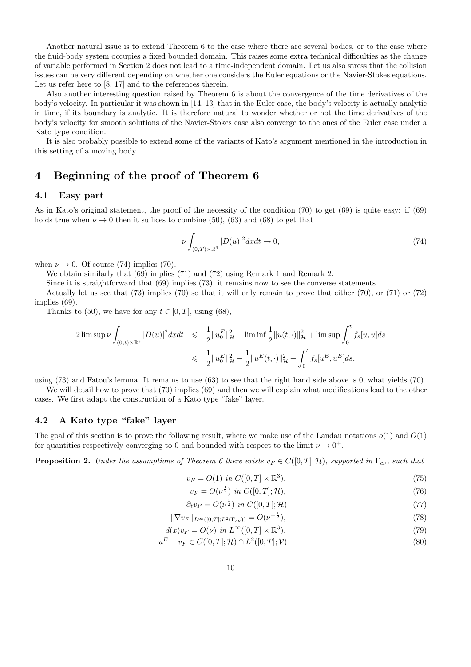Another natural issue is to extend Theorem 6 to the case where there are several bodies, or to the case where the fluid-body system occupies a fixed bounded domain. This raises some extra technical difficulties as the change of variable performed in Section 2 does not lead to a time-independent domain. Let us also stress that the collision issues can be very different depending on whether one considers the Euler equations or the Navier-Stokes equations. Let us refer here to [8, 17] and to the references therein.

Also another interesting question raised by Theorem 6 is about the convergence of the time derivatives of the body's velocity. In particular it was shown in [14, 13] that in the Euler case, the body's velocity is actually analytic in time, if its boundary is analytic. It is therefore natural to wonder whether or not the time derivatives of the body's velocity for smooth solutions of the Navier-Stokes case also converge to the ones of the Euler case under a Kato type condition.

It is also probably possible to extend some of the variants of Kato's argument mentioned in the introduction in this setting of a moving body.

### 4 Beginning of the proof of Theorem 6

#### 4.1 Easy part

As in Kato's original statement, the proof of the necessity of the condition (70) to get (69) is quite easy: if (69) holds true when  $\nu \rightarrow 0$  then it suffices to combine (50), (63) and (68) to get that

$$
\nu \int_{(0,T)\times\mathbb{R}^3} |D(u)|^2 dx dt \to 0,
$$
\n(74)

when  $\nu \rightarrow 0$ . Of course (74) implies (70).

We obtain similarly that (69) implies (71) and (72) using Remark 1 and Remark 2.

Since it is straightforward that (69) implies (73), it remains now to see the converse statements.

Actually let us see that (73) implies (70) so that it will only remain to prove that either (70), or (71) or (72) implies (69).

Thanks to (50), we have for any  $t \in [0, T]$ , using (68),

$$
\begin{array}{lcl} 2 \limsup \nu \int_{(0,t)\times \mathbb{R}^3} |D(u)|^2 dxdt & \leqslant & \displaystyle \frac{1}{2} \|u^E_0\|_{\mathcal{H}}^2 - \liminf \frac{1}{2} \|u(t,\cdot)\|_{\mathcal{H}}^2 + \limsup \int_0^t f_s[u,u] ds \\ \\ & \leqslant & \displaystyle \frac{1}{2} \|u^E_0\|_{\mathcal{H}}^2 - \frac{1}{2} \|u^E(t,\cdot)\|_{\mathcal{H}}^2 + \int_0^t f_s[u^E,u^E] ds, \end{array}
$$

using (73) and Fatou's lemma. It remains to use (63) to see that the right hand side above is 0, what yields (70).

We will detail how to prove that (70) implies (69) and then we will explain what modifications lead to the other cases. We first adapt the construction of a Kato type "fake" layer.

#### 4.2 A Kato type "fake" layer

The goal of this section is to prove the following result, where we make use of the Landau notations  $o(1)$  and  $O(1)$ for quantities respectively converging to 0 and bounded with respect to the limit  $\nu \rightarrow 0^+$ .

**Proposition 2.** Under the assumptions of Theorem 6 there exists  $v_F \in C([0,T];\mathcal{H})$ , supported in  $\Gamma_{c\nu}$ , such that

$$
v_F = O(1) \text{ in } C([0, T] \times \mathbb{R}^3), \tag{75}
$$

$$
v_F = O(\nu^{\frac{1}{2}}) \text{ in } C([0, T]; \mathcal{H}), \tag{76}
$$

$$
\partial_t v_F = O(\nu^{\frac{1}{2}}) \text{ in } C([0, T]; \mathcal{H}) \tag{77}
$$

$$
\|\nabla v_F\|_{L^{\infty}([0,T];L^2(\Gamma_{c\nu}))} = O(\nu^{-\frac{1}{2}}),\tag{78}
$$

$$
d(x)v_F = O(\nu) \text{ in } L^{\infty}([0,T] \times \mathbb{R}^3),\tag{79}
$$

$$
u^{E} - v_{F} \in C([0, T]; \mathcal{H}) \cap L^{2}([0, T]; \mathcal{V})
$$
\n(80)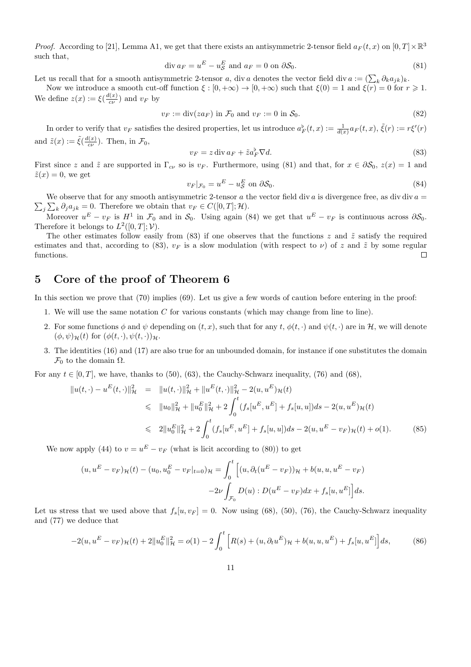*Proof.* According to [21], Lemma A1, we get that there exists an antisymmetric 2-tensor field  $a_F(t, x)$  on  $[0, T] \times \mathbb{R}^3$ such that,

$$
\operatorname{div} a_F = u^E - u^E_{\mathcal{S}} \text{ and } a_F = 0 \text{ on } \partial \mathcal{S}_0. \tag{81}
$$

Let us recall that for a smooth antisymmetric 2-tensor a, div a denotes the vector field div  $a := (\sum_k \partial_k a_{jk})_k$ .

Now we introduce a smooth cut-off function  $\xi : [0, +\infty) \to [0, +\infty)$  such that  $\xi(0) = 1$  and  $\xi(r) = 0$  for  $r \ge 1$ . We define  $z(x) := \xi(\frac{d(x)}{d(x)})$  $\frac{v(x)}{c\nu}$  and  $v_F$  by

$$
v_F := \text{div}(za_F) \text{ in } \mathcal{F}_0 \text{ and } v_F := 0 \text{ in } \mathcal{S}_0. \tag{82}
$$

In order to verify that  $v_F$  satisfies the desired properties, let us introduce  $a_F^{\flat}(t,x) := \frac{1}{d(x)} a_F(t,x)$ ,  $\tilde{\xi}(r) := r \xi'(r)$ and  $\tilde{z}(x) := \tilde{\xi}(\frac{d(x)}{c^{\prime\prime}})$  $(\frac{c(x)}{c\nu})$ . Then, in  $\mathcal{F}_0$ ,

$$
v_F = z \operatorname{div} a_F + \tilde{z} a_F^{\flat} \nabla d. \tag{83}
$$

First since z and  $\tilde{z}$  are supported in  $\Gamma_{c\nu}$  so is  $v_F$ . Furthermore, using (81) and that, for  $x \in \partial \mathcal{S}_0$ ,  $z(x) = 1$  and  $\tilde{z}(x) = 0$ , we get

$$
v_F|_{\mathcal{F}_0} = u^E - u^E_{\mathcal{S}} \text{ on } \partial \mathcal{S}_0. \tag{84}
$$

 $\sum_j \sum_k \partial_j a_{jk} = 0$ . Therefore we obtain that  $v_F \in C([0, T]; \mathcal{H})$ . We observe that for any smooth antisymmetric 2-tensor a the vector field div a is divergence free, as div div  $a =$ 

Moreover  $u^E - v_F$  is  $H^1$  in  $\mathcal{F}_0$  and in  $\mathcal{S}_0$ . Using again (84) we get that  $u^E - v_F$  is continuous across  $\partial \mathcal{S}_0$ . Therefore it belongs to  $L^2([0,T];\mathcal{V})$ .

The other estimates follow easily from (83) if one observes that the functions z and  $\tilde{z}$  satisfy the required estimates and that, according to (83),  $v_F$  is a slow modulation (with respect to  $\nu$ ) of z and  $\tilde{z}$  by some regular functions.  $\Box$ 

### 5 Core of the proof of Theorem 6

In this section we prove that (70) implies (69). Let us give a few words of caution before entering in the proof:

- 1. We will use the same notation  $C$  for various constants (which may change from line to line).
- 2. For some functions  $\phi$  and  $\psi$  depending on  $(t, x)$ , such that for any  $t, \phi(t, \cdot)$  and  $\psi(t, \cdot)$  are in H, we will denote  $(\phi, \psi)_{\mathcal{H}}(t)$  for  $(\phi(t, \cdot), \psi(t, \cdot))_{\mathcal{H}}$ .
- 3. The identities (16) and (17) are also true for an unbounded domain, for instance if one substitutes the domain  $\mathcal{F}_0$  to the domain  $\Omega$ .

For any  $t \in [0, T]$ , we have, thanks to (50), (63), the Cauchy-Schwarz inequality, (76) and (68),

$$
\|u(t,\cdot)-u^{E}(t,\cdot)\|_{\mathcal{H}}^{2} = \|u(t,\cdot)\|_{\mathcal{H}}^{2} + \|u^{E}(t,\cdot)\|_{\mathcal{H}}^{2} - 2(u,u^{E})_{\mathcal{H}}(t)
$$
  
\n
$$
\leq \|u_{0}\|_{\mathcal{H}}^{2} + \|u_{0}^{E}\|_{\mathcal{H}}^{2} + 2 \int_{0}^{t} (f_{s}[u^{E},u^{E}] + f_{s}[u,u])ds - 2(u,u^{E})_{\mathcal{H}}(t)
$$
  
\n
$$
\leq 2\|u_{0}^{E}\|_{\mathcal{H}}^{2} + 2 \int_{0}^{t} (f_{s}[u^{E},u^{E}] + f_{s}[u,u])ds - 2(u,u^{E} - v_{F})_{\mathcal{H}}(t) + o(1).
$$
 (85)

We now apply (44) to  $v = u^E - v_F$  (what is licit according to (80)) to get

$$
(u, u^{E} - v_{F})_{\mathcal{H}}(t) - (u_{0}, u_{0}^{E} - v_{F}|_{t=0})_{\mathcal{H}} = \int_{0}^{t} \left[ (u, \partial_{t} (u^{E} - v_{F}))_{\mathcal{H}} + b(u, u, u^{E} - v_{F}) - 2\nu \int_{\mathcal{F}_{0}} D(u) : D(u^{E} - v_{F}) dx + f_{s}[u, u^{E}] \right] ds.
$$

Let us stress that we used above that  $f_s[u, v_F] = 0$ . Now using (68), (50), (76), the Cauchy-Schwarz inequality and (77) we deduce that

$$
-2(u, u^{E} - v_{F})\mu(t) + 2||u_{0}^{E}||_{\mathcal{H}}^{2} = o(1) - 2\int_{0}^{t} \left[R(s) + (u, \partial_{t}u^{E})\mu + b(u, u, u^{E}) + f_{s}[u, u^{E}]\right]ds,
$$
(86)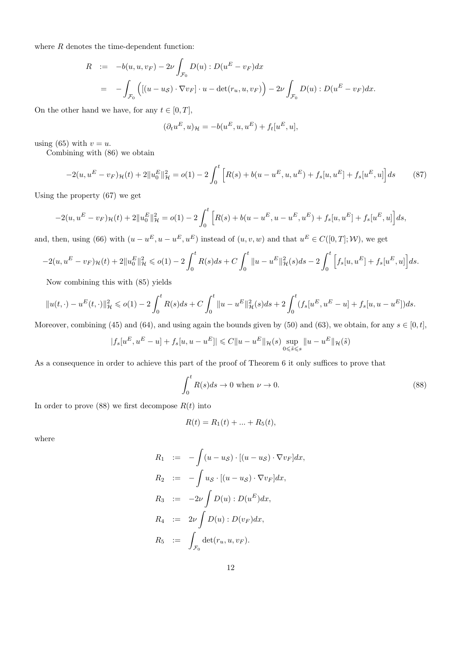where  $R$  denotes the time-dependent function:

$$
R := -b(u, u, v_F) - 2\nu \int_{\mathcal{F}_0} D(u) : D(u^E - v_F) dx
$$
  
= 
$$
- \int_{\mathcal{F}_0} \left( [(u - u_S) \cdot \nabla v_F] \cdot u - \det(r_u, u, v_F) \right) - 2\nu \int_{\mathcal{F}_0} D(u) : D(u^E - v_F) dx.
$$

On the other hand we have, for any  $t \in [0, T]$ ,

$$
(\partial_t u^E, u)_{\mathcal{H}} = -b(u^E, u, u^E) + f_t[u^E, u],
$$

using (65) with  $v = u$ .

Combining with (86) we obtain

$$
-2(u, u^{E} - v_{F})\mu(t) + 2||u_{0}^{E}||_{\mathcal{H}}^{2} = o(1) - 2\int_{0}^{t} \left[R(s) + b(u - u^{E}, u, u^{E}) + f_{s}[u, u^{E}] + f_{s}[u^{E}, u]\right]ds
$$
(87)

Using the property (67) we get

$$
-2(u, u^{E} - v_{F})\mu(t) + 2||u_{0}^{E}||_{\mathcal{H}}^{2} = o(1) - 2\int_{0}^{t} \left[R(s) + b(u - u^{E}, u - u^{E}, u^{E}) + f_{s}[u, u^{E}] + f_{s}[u^{E}, u]\right]ds,
$$

and, then, using (66) with  $(u - u^E, u - u^E, u^E)$  instead of  $(u, v, w)$  and that  $u^E \in C([0, T]; \mathcal{W})$ , we get

$$
-2(u, u^{E} - v_{F})_{\mathcal{H}}(t) + 2||u_{0}^{E}||_{\mathcal{H}}^{2} \leqslant o(1) - 2\int_{0}^{t} R(s)ds + C\int_{0}^{t} ||u - u^{E}||_{\mathcal{H}}^{2}(s)ds - 2\int_{0}^{t} \left[ f_{s}[u, u^{E}] + f_{s}[u^{E}, u] \right]ds.
$$

Now combining this with (85) yields

$$
||u(t,\cdot)-u^E(t,\cdot)||_{\mathcal{H}}^2 \leqslant o(1)-2\int_0^t R(s)ds + C\int_0^t ||u-u^E||_{\mathcal{H}}^2(s)ds + 2\int_0^t (f_s[u^E, u^E - u] + f_s[u, u - u^E])ds.
$$

Moreover, combining (45) and (64), and using again the bounds given by (50) and (63), we obtain, for any  $s \in [0, t]$ ,

$$
|f_s[u^E, u^E - u] + f_s[u, u - u^E]| \leq C||u - u^E||_{\mathcal{H}}(s) \sup_{0 \leq \tilde{s} \leq s} ||u - u^E||_{\mathcal{H}}(\tilde{s})
$$

As a consequence in order to achieve this part of the proof of Theorem 6 it only suffices to prove that

$$
\int_0^t R(s)ds \to 0 \text{ when } \nu \to 0. \tag{88}
$$

In order to prove (88) we first decompose  $R(t)$  into

$$
R(t) = R_1(t) + \dots + R_5(t),
$$

where

$$
R_1 := -\int (u - u_S) \cdot [(u - u_S) \cdot \nabla v_F] dx,
$$
  
\n
$$
R_2 := -\int u_S \cdot [(u - u_S) \cdot \nabla v_F] dx,
$$
  
\n
$$
R_3 := -2\nu \int D(u) : D(u^E) dx,
$$
  
\n
$$
R_4 := 2\nu \int D(u) : D(v_F) dx,
$$
  
\n
$$
R_5 := \int_{\mathcal{F}_0} \det(r_u, u, v_F).
$$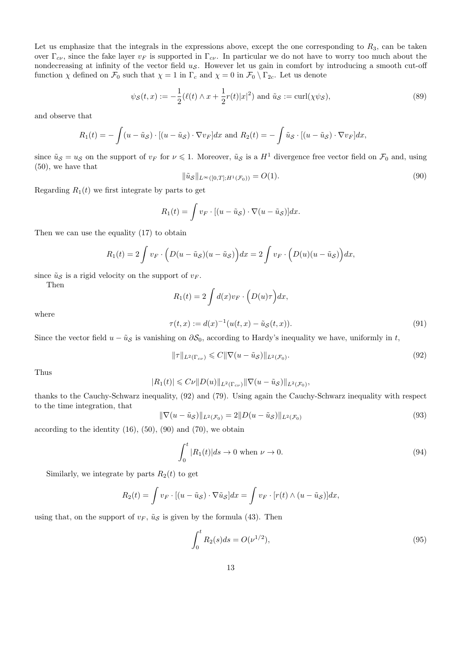Let us emphasize that the integrals in the expressions above, except the one corresponding to  $R_3$ , can be taken over  $\Gamma_{c\nu}$ , since the fake layer  $v_F$  is supported in  $\Gamma_{c\nu}$ . In particular we do not have to worry too much about the nondecreasing at infinity of the vector field  $u<sub>S</sub>$ . However let us gain in comfort by introducing a smooth cut-off function  $\chi$  defined on  $\mathcal{F}_0$  such that  $\chi = 1$  in  $\Gamma_c$  and  $\chi = 0$  in  $\mathcal{F}_0 \setminus \Gamma_{2c}$ . Let us denote

$$
\psi_{\mathcal{S}}(t,x) := -\frac{1}{2}(\ell(t) \wedge x + \frac{1}{2}r(t)|x|^2) \text{ and } \tilde{u}_{\mathcal{S}} := \text{curl}(\chi\psi_{\mathcal{S}}),\tag{89}
$$

and observe that

$$
R_1(t) = -\int (u - \tilde{u}_{\mathcal{S}}) \cdot [(u - \tilde{u}_{\mathcal{S}}) \cdot \nabla v_F] dx \text{ and } R_2(t) = -\int \tilde{u}_{\mathcal{S}} \cdot [(u - \tilde{u}_{\mathcal{S}}) \cdot \nabla v_F] dx,
$$

since  $\tilde{u}_{\mathcal{S}} = u_{\mathcal{S}}$  on the support of  $v_F$  for  $\nu \leq 1$ . Moreover,  $\tilde{u}_{\mathcal{S}}$  is a  $H^1$  divergence free vector field on  $\mathcal{F}_0$  and, using (50), we have that

$$
\|\tilde{u}_{\mathcal{S}}\|_{L^{\infty}([0,T];H^1(\mathcal{F}_0))} = O(1). \tag{90}
$$

Regarding  $R_1(t)$  we first integrate by parts to get

$$
R_1(t) = \int v_F \cdot [(u - \tilde{u}_S) \cdot \nabla (u - \tilde{u}_S)] dx.
$$

Then we can use the equality (17) to obtain

$$
R_1(t) = 2 \int v_F \cdot \left( D(u - \tilde{u}_{\mathcal{S}})(u - \tilde{u}_{\mathcal{S}}) \right) dx = 2 \int v_F \cdot \left( D(u)(u - \tilde{u}_{\mathcal{S}}) \right) dx,
$$

since  $\tilde{u}_{\mathcal{S}}$  is a rigid velocity on the support of  $v_F$ .

Then

$$
R_1(t) = 2 \int d(x) v_F \cdot \left( D(u)\tau \right) dx,
$$
\n
$$
\left\langle u, v \right\rangle = \left\{ \left( u, v \right) \right\} \left( \left( u, v \right) \right) \tag{61}
$$

where

$$
\tau(t,x) := d(x)^{-1}(u(t,x) - \tilde{u}_{\mathcal{S}}(t,x)).
$$
\n(91)

Since the vector field  $u - \tilde{u}_{\mathcal{S}}$  is vanishing on  $\partial \mathcal{S}_0$ , according to Hardy's inequality we have, uniformly in t,

$$
\|\tau\|_{L^2(\Gamma_{c\nu})} \leqslant C \|\nabla (u - \tilde{u}_{\mathcal{S}})\|_{L^2(\mathcal{F}_0)}.
$$
\n
$$
(92)
$$

Thus

$$
|R_1(t)| \leqslant C\nu ||D(u)||_{L^2(\Gamma_{c\nu})} ||\nabla(u-\tilde{u}_{\mathcal{S}})||_{L^2(\mathcal{F}_0)},
$$

thanks to the Cauchy-Schwarz inequality, (92) and (79). Using again the Cauchy-Schwarz inequality with respect to the time integration, that

$$
\|\nabla(u - \tilde{u}_{\mathcal{S}})\|_{L^{2}(\mathcal{F}_{0})} = 2\|D(u - \tilde{u}_{\mathcal{S}})\|_{L^{2}(\mathcal{F}_{0})}
$$
\n(93)

according to the identity  $(16)$ ,  $(50)$ ,  $(90)$  and  $(70)$ , we obtain

$$
\int_0^t |R_1(t)|ds \to 0 \text{ when } \nu \to 0.
$$
\n(94)

Similarly, we integrate by parts  $R_2(t)$  to get

$$
R_2(t) = \int v_F \cdot [(u - \tilde{u}_S) \cdot \nabla \tilde{u}_S] dx = \int v_F \cdot [r(t) \wedge (u - \tilde{u}_S)] dx,
$$

using that, on the support of  $v_F$ ,  $\tilde{u}_S$  is given by the formula (43). Then

$$
\int_0^t R_2(s)ds = O(\nu^{1/2}),\tag{95}
$$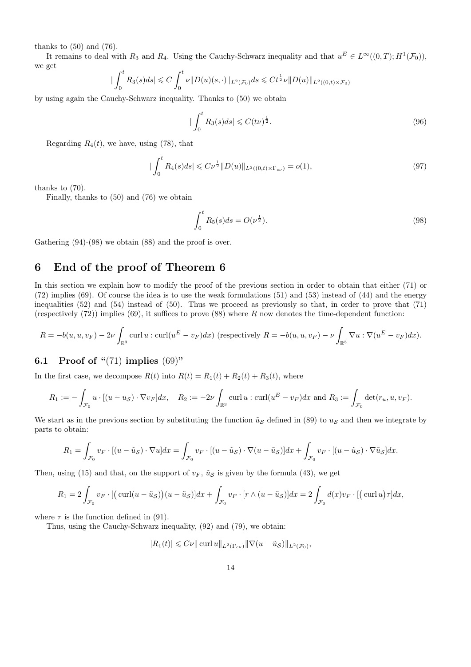thanks to  $(50)$  and  $(76)$ .

It remains to deal with  $R_3$  and  $R_4$ . Using the Cauchy-Schwarz inequality and that  $u^E \in L^{\infty}((0,T); H^1(\mathcal{F}_0))$ , we get

$$
\left| \int_0^t R_3(s)ds \right| \leq C \int_0^t \nu \| D(u)(s, \cdot) \|_{L^2(\mathcal{F}_0)} ds \leq C t^{\frac{1}{2}} \nu \| D(u) \|_{L^2((0, t) \times \mathcal{F}_0)}
$$

by using again the Cauchy-Schwarz inequality. Thanks to (50) we obtain

$$
|\int_0^t R_3(s)ds| \leqslant C(t\nu)^{\frac{1}{2}}.
$$
\n(96)

Regarding  $R_4(t)$ , we have, using (78), that

$$
|\int_0^t R_4(s)ds| \leqslant C\nu^{\frac{1}{2}} \|D(u)\|_{L^2((0,t)\times\Gamma_{c\nu})} = o(1),\tag{97}
$$

thanks to (70).

Finally, thanks to (50) and (76) we obtain

$$
\int_0^t R_5(s)ds = O(\nu^{\frac{1}{2}}). \tag{98}
$$

Gathering (94)-(98) we obtain (88) and the proof is over.

### 6 End of the proof of Theorem 6

In this section we explain how to modify the proof of the previous section in order to obtain that either (71) or (72) implies (69). Of course the idea is to use the weak formulations (51) and (53) instead of (44) and the energy inequalities (52) and (54) instead of (50). Thus we proceed as previously so that, in order to prove that (71) (respectively  $(72)$ ) implies  $(69)$ , it suffices to prove  $(88)$  where R now denotes the time-dependent function:

$$
R = -b(u, u, v_F) - 2\nu \int_{\mathbb{R}^3} \operatorname{curl} u : \operatorname{curl}(u^E - v_F) dx
$$
 (respectively  $R = -b(u, u, v_F) - \nu \int_{\mathbb{R}^3} \nabla u : \nabla (u^E - v_F) dx$ ).

### 6.1 Proof of " $(71)$  implies  $(69)$ "

In the first case, we decompose  $R(t)$  into  $R(t) = R_1(t) + R_2(t) + R_3(t)$ , where

$$
R_1 := -\int_{\mathcal{F}_0} u \cdot [(u - u_{\mathcal{S}}) \cdot \nabla v_F] dx, \quad R_2 := -2\nu \int_{\mathbb{R}^3} \operatorname{curl} u : \operatorname{curl}(u^E - v_F) dx \text{ and } R_3 := \int_{\mathcal{F}_0} \det(r_u, u, v_F).
$$

We start as in the previous section by substituting the function  $\tilde{u}_{\mathcal{S}}$  defined in (89) to  $u_{\mathcal{S}}$  and then we integrate by parts to obtain:

$$
R_1 = \int_{\mathcal{F}_0} v_F \cdot [(u - \tilde{u}_S) \cdot \nabla u] dx = \int_{\mathcal{F}_0} v_F \cdot [(u - \tilde{u}_S) \cdot \nabla (u - \tilde{u}_S)] dx + \int_{\mathcal{F}_0} v_F \cdot [(u - \tilde{u}_S) \cdot \nabla \tilde{u}_S] dx.
$$

Then, using (15) and that, on the support of  $v_F$ ,  $\tilde{u}_S$  is given by the formula (43), we get

$$
R_1 = 2 \int_{\mathcal{F}_0} v_F \cdot \left[ \left( \text{curl}(u - \tilde{u}_{\mathcal{S}}) \right) (u - \tilde{u}_{\mathcal{S}}) \right] dx + \int_{\mathcal{F}_0} v_F \cdot \left[ r \wedge (u - \tilde{u}_{\mathcal{S}}) \right] dx = 2 \int_{\mathcal{F}_0} d(x) v_F \cdot \left[ \left( \text{curl } u \right) \tau \right] dx,
$$

where  $\tau$  is the function defined in (91).

Thus, using the Cauchy-Schwarz inequality, (92) and (79), we obtain:

$$
|R_1(t)| \leqslant C\nu \|\operatorname{curl} u\|_{L^2(\Gamma_{c\nu})} \|\nabla (u - \tilde{u}_{\mathcal{S}})\|_{L^2(\mathcal{F}_0)},
$$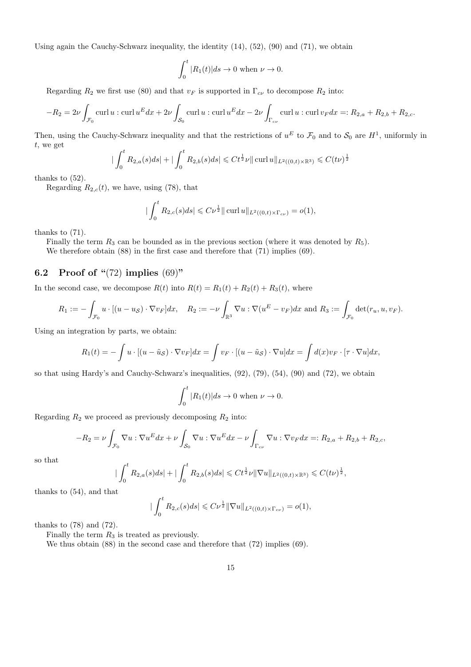Using again the Cauchy-Schwarz inequality, the identity  $(14)$ ,  $(52)$ ,  $(90)$  and  $(71)$ , we obtain

$$
\int_0^t |R_1(t)|ds \to 0 \text{ when } \nu \to 0.
$$

Regarding  $R_2$  we first use (80) and that  $v_F$  is supported in  $\Gamma_{c\nu}$  to decompose  $R_2$  into:

$$
-R_2 = 2\nu \int_{\mathcal{F}_0} \operatorname{curl} u : \operatorname{curl} u^E dx + 2\nu \int_{\mathcal{S}_0} \operatorname{curl} u : \operatorname{curl} u^E dx - 2\nu \int_{\Gamma_{cv}} \operatorname{curl} u : \operatorname{curl} v_F dx =: R_{2,a} + R_{2,b} + R_{2,c}.
$$

Then, using the Cauchy-Schwarz inequality and that the restrictions of  $u^E$  to  $\mathcal{F}_0$  and to  $\mathcal{S}_0$  are  $H^1$ , uniformly in t, we get

$$
\left| \int_0^t R_{2,a}(s)ds \right| + \left| \int_0^t R_{2,b}(s)ds \right| \leq C t^{\frac{1}{2}} \nu \|\operatorname{curl} u\|_{L^2((0,t)\times \mathbb{R}^3)} \leq C (t\nu)^{\frac{1}{2}}
$$

thanks to (52).

Regarding  $R_{2,c}(t)$ , we have, using (78), that

$$
\left| \int_0^t R_{2,c}(s)ds \right| \leqslant C \nu^{\frac{1}{2}} \|\operatorname{curl} u \|_{L^2((0,t)\times \Gamma_{c\nu})} = o(1),
$$

thanks to (71).

Finally the term  $R_3$  can be bounded as in the previous section (where it was denoted by  $R_5$ ).

We therefore obtain (88) in the first case and therefore that (71) implies (69).

#### 6.2 Proof of " $(72)$  implies  $(69)$ "

In the second case, we decompose  $R(t)$  into  $R(t) = R_1(t) + R_2(t) + R_3(t)$ , where

$$
R_1 := -\int_{\mathcal{F}_0} u \cdot [(u - u_{\mathcal{S}}) \cdot \nabla v_F] dx, \quad R_2 := -\nu \int_{\mathbb{R}^3} \nabla u : \nabla (u^E - v_F) dx \text{ and } R_3 := \int_{\mathcal{F}_0} \det(r_u, u, v_F).
$$

Using an integration by parts, we obtain:

$$
R_1(t) = -\int u \cdot [(u - \tilde{u}_{\mathcal{S}}) \cdot \nabla v_F] dx = \int v_F \cdot [(u - \tilde{u}_{\mathcal{S}}) \cdot \nabla u] dx = \int d(x) v_F \cdot [\tau \cdot \nabla u] dx,
$$

so that using Hardy's and Cauchy-Schwarz's inequalities, (92), (79), (54), (90) and (72), we obtain

$$
\int_0^t |R_1(t)|ds \to 0 \text{ when } \nu \to 0.
$$

Regarding  $R_2$  we proceed as previously decomposing  $R_2$  into:

$$
-R_2 = \nu \int_{\mathcal{F}_0} \nabla u : \nabla u^E dx + \nu \int_{\mathcal{S}_0} \nabla u : \nabla u^E dx - \nu \int_{\Gamma_{c\nu}} \nabla u : \nabla v_F dx =: R_{2,a} + R_{2,b} + R_{2,c},
$$

so that

$$
\int_0^t R_{2,a}(s)ds| + |\int_0^t R_{2,b}(s)ds| \leq C t^{\frac{1}{2}}\nu \|\nabla u\|_{L^2((0,t)\times \mathbb{R}^3)} \leq C (t\nu)^{\frac{1}{2}},
$$

thanks to (54), and that

$$
|\int_0^t R_{2,c}(s)ds| \leq C \nu^{\frac{1}{2}} \|\nabla u\|_{L^2((0,t)\times \Gamma_{c\nu})} = o(1),
$$

thanks to  $(78)$  and  $(72)$ .

Finally the term  $R_3$  is treated as previously.

|

We thus obtain (88) in the second case and therefore that (72) implies (69).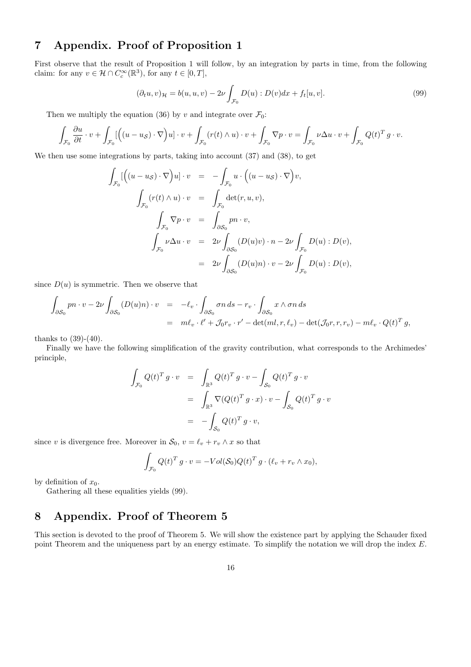# 7 Appendix. Proof of Proposition 1

First observe that the result of Proposition 1 will follow, by an integration by parts in time, from the following claim: for any  $v \in \mathcal{H} \cap C_c^{\infty}(\mathbb{R}^3)$ , for any  $t \in [0, T]$ ,

$$
(\partial_t u, v)_{\mathcal{H}} = b(u, u, v) - 2\nu \int_{\mathcal{F}_0} D(u) : D(v)dx + f_t[u, v].
$$
\n(99)

Then we multiply the equation (36) by v and integrate over  $\mathcal{F}_0$ :

$$
\int_{\mathcal{F}_0} \frac{\partial u}{\partial t} \cdot v + \int_{\mathcal{F}_0} \left[ \left( (u - u_{\mathcal{S}}) \cdot \nabla \right) u \right] \cdot v + \int_{\mathcal{F}_0} (r(t) \wedge u) \cdot v + \int_{\mathcal{F}_0} \nabla p \cdot v = \int_{\mathcal{F}_0} \nu \Delta u \cdot v + \int_{\mathcal{F}_0} Q(t)^T g \cdot v.
$$

We then use some integrations by parts, taking into account (37) and (38), to get

$$
\int_{\mathcal{F}_0} \left[ \left( (u - u_{\mathcal{S}}) \cdot \nabla \right) u \right] \cdot v = - \int_{\mathcal{F}_0} u \cdot \left( (u - u_{\mathcal{S}}) \cdot \nabla \right) v,
$$
\n
$$
\int_{\mathcal{F}_0} (r(t) \wedge u) \cdot v = \int_{\mathcal{F}_0} \det(r, u, v),
$$
\n
$$
\int_{\mathcal{F}_0} \nabla p \cdot v = \int_{\partial \mathcal{S}_0} p n \cdot v,
$$
\n
$$
\int_{\mathcal{F}_0} \nu \Delta u \cdot v = 2\nu \int_{\partial \mathcal{S}_0} (D(u)v) \cdot n - 2\nu \int_{\mathcal{F}_0} D(u) : D(v),
$$
\n
$$
= 2\nu \int_{\partial \mathcal{S}_0} (D(u)n) \cdot v - 2\nu \int_{\mathcal{F}_0} D(u) : D(v),
$$

since  $D(u)$  is symmetric. Then we observe that

$$
\int_{\partial S_0} pn \cdot v - 2\nu \int_{\partial S_0} (D(u)n) \cdot v = -\ell_v \cdot \int_{\partial S_0} \sigma n \, ds - r_v \cdot \int_{\partial S_0} x \wedge \sigma n \, ds
$$
  
=  $m\ell_v \cdot \ell' + \mathcal{J}_0 r_v \cdot r' - \det(ml, r, \ell_v) - \det(\mathcal{J}_0 r, r, r_v) - m\ell_v \cdot Q(t)^T g$ ,

thanks to  $(39)-(40)$ .

Finally we have the following simplification of the gravity contribution, what corresponds to the Archimedes' principle,

$$
\int_{\mathcal{F}_0} Q(t)^T g \cdot v = \int_{\mathbb{R}^3} Q(t)^T g \cdot v - \int_{\mathcal{S}_0} Q(t)^T g \cdot v
$$

$$
= \int_{\mathbb{R}^3} \nabla (Q(t)^T g \cdot x) \cdot v - \int_{\mathcal{S}_0} Q(t)^T g \cdot v
$$

$$
= - \int_{\mathcal{S}_0} Q(t)^T g \cdot v,
$$

since v is divergence free. Moreover in  $S_0$ ,  $v = \ell_v + r_v \wedge x$  so that

$$
\int_{\mathcal{F}_0} Q(t)^T g \cdot v = - Vol(\mathcal{S}_0) Q(t)^T g \cdot (\ell_v + r_v \wedge x_0),
$$

by definition of  $x_0$ .

Gathering all these equalities yields (99).

# 8 Appendix. Proof of Theorem 5

This section is devoted to the proof of Theorem 5. We will show the existence part by applying the Schauder fixed point Theorem and the uniqueness part by an energy estimate. To simplify the notation we will drop the index E.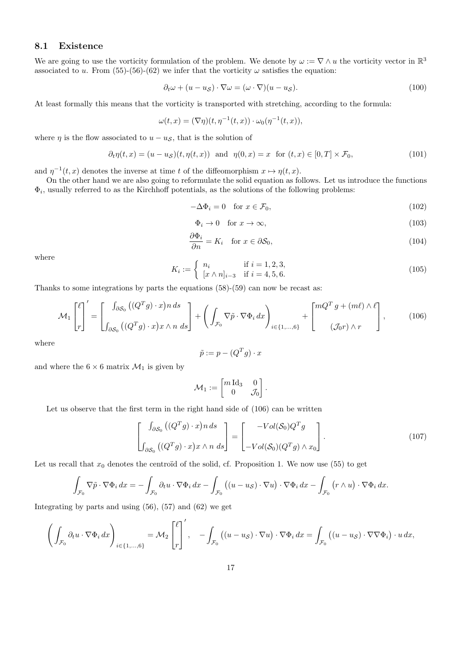### 8.1 Existence

We are going to use the vorticity formulation of the problem. We denote by  $\omega := \nabla \wedge u$  the vorticity vector in  $\mathbb{R}^3$ associated to u. From (55)-(56)-(62) we infer that the vorticity  $\omega$  satisfies the equation:

$$
\partial_t \omega + (u - u_S) \cdot \nabla \omega = (\omega \cdot \nabla)(u - u_S). \tag{100}
$$

At least formally this means that the vorticity is transported with stretching, according to the formula:

$$
\omega(t,x)=(\nabla\eta)(t,\eta^{-1}(t,x))\cdot\omega_0(\eta^{-1}(t,x)),
$$

where  $\eta$  is the flow associated to  $u - u_{\mathcal{S}}$ , that is the solution of

$$
\partial_t \eta(t, x) = (u - u_{\mathcal{S}})(t, \eta(t, x)) \quad \text{and} \quad \eta(0, x) = x \quad \text{for } (t, x) \in [0, T] \times \mathcal{F}_0,
$$
\n
$$
(101)
$$

and  $\eta^{-1}(t,x)$  denotes the inverse at time t of the diffeomorphism  $x \mapsto \eta(t,x)$ .

On the other hand we are also going to reformulate the solid equation as follows. Let us introduce the functions  $\Phi_i$ , usually referred to as the Kirchhoff potentials, as the solutions of the following problems:

$$
-\Delta\Phi_i = 0 \quad \text{for } x \in \mathcal{F}_0,\tag{102}
$$

$$
\Phi_i \to 0 \quad \text{for } x \to \infty,\tag{103}
$$

$$
\frac{\partial \Phi_i}{\partial n} = K_i \quad \text{for } x \in \partial S_0,
$$
\n(104)

where

$$
K_i := \begin{cases} n_i & \text{if } i = 1, 2, 3, \\ [x \wedge n]_{i-3} & \text{if } i = 4, 5, 6. \end{cases}
$$
 (105)

Thanks to some integrations by parts the equations (58)-(59) can now be recast as:

$$
\mathcal{M}_1 \begin{bmatrix} \ell \\ r \end{bmatrix}' = \begin{bmatrix} \int_{\partial S_0} \left( (Q^T g) \cdot x \right) n \, ds \\ \int_{\partial S_0} \left( (Q^T g) \cdot x \right) x \wedge n \, ds \end{bmatrix} + \left( \int_{\mathcal{F}_0} \nabla \tilde{p} \cdot \nabla \Phi_i \, dx \right)_{i \in \{1, \dots, 6\}} + \begin{bmatrix} m Q^T g + (m \ell) \wedge \ell \\ (\mathcal{J}_0 r) \wedge r \end{bmatrix}, \tag{106}
$$

where

$$
\tilde{p} := p - (Q^T g) \cdot x
$$

and where the  $6 \times 6$  matrix  $\mathcal{M}_1$  is given by

$$
\mathcal{M}_1 := \begin{bmatrix} m \operatorname{Id}_3 & 0 \\ 0 & \mathcal{J}_0 \end{bmatrix}.
$$

Let us observe that the first term in the right hand side of  $(106)$  can be written

$$
\begin{bmatrix}\n\int_{\partial S_0} \left( (Q^T g) \cdot x \right) n \, ds \\
\int_{\partial S_0} \left( (Q^T g) \cdot x \right) x \wedge n \, ds\n\end{bmatrix} = \begin{bmatrix}\n-Vol(\mathcal{S}_0) Q^T g \\
-Vol(\mathcal{S}_0) (Q^T g) \wedge x_0\n\end{bmatrix}.
$$
\n(107)

Let us recall that  $x_0$  denotes the centroïd of the solid, cf. Proposition 1. We now use (55) to get

$$
\int_{\mathcal{F}_0} \nabla \tilde{p} \cdot \nabla \Phi_i \, dx = - \int_{\mathcal{F}_0} \partial_t u \cdot \nabla \Phi_i \, dx - \int_{\mathcal{F}_0} \left( (u - u_S) \cdot \nabla u \right) \cdot \nabla \Phi_i \, dx - \int_{\mathcal{F}_0} \left( r \wedge u \right) \cdot \nabla \Phi_i \, dx.
$$

Integrating by parts and using  $(56)$ ,  $(57)$  and  $(62)$  we get

$$
\left(\int_{\mathcal{F}_0} \partial_t u \cdot \nabla \Phi_i \, dx\right)_{i \in \{1, \ldots, 6\}} = \mathcal{M}_2 \left[\int_r^{\ell} \right], \quad - \int_{\mathcal{F}_0} \left( (u - u_S) \cdot \nabla u \right) \cdot \nabla \Phi_i \, dx = \int_{\mathcal{F}_0} \left( (u - u_S) \cdot \nabla \nabla \Phi_i \right) \cdot u \, dx,
$$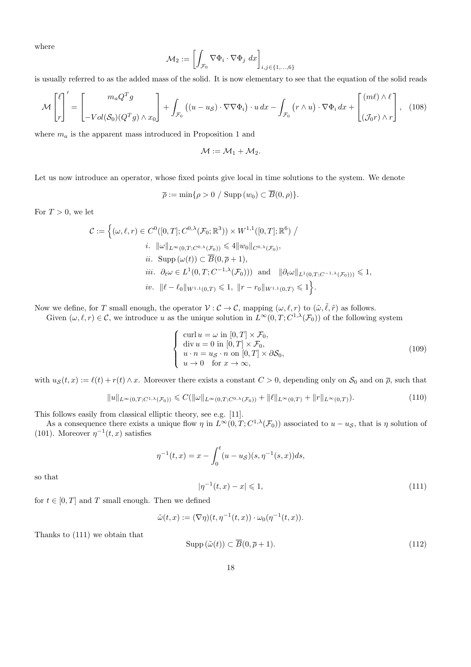where

$$
\mathcal{M}_2 := \left[\int_{\mathcal{F}_0} \nabla \Phi_i \cdot \nabla \Phi_j \ dx \right]_{i,j \in \{1,\ldots,6\}}
$$

is usually referred to as the added mass of the solid. It is now elementary to see that the equation of the solid reads

$$
\mathcal{M}\begin{bmatrix} \ell \\ r \end{bmatrix}' = \begin{bmatrix} m_a Q^T g \\ -Vol(\mathcal{S}_0)(Q^T g) \wedge x_0 \end{bmatrix} + \int_{\mathcal{F}_0} \left( (u - u_S) \cdot \nabla \nabla \Phi_i \right) \cdot u \, dx - \int_{\mathcal{F}_0} \left( r \wedge u \right) \cdot \nabla \Phi_i \, dx + \begin{bmatrix} (m\ell) \wedge \ell \\ (\mathcal{J}_0 r) \wedge r \end{bmatrix}, \tag{108}
$$

where  $m_a$  is the apparent mass introduced in Proposition 1 and

$$
\mathcal{M}:=\mathcal{M}_1+\mathcal{M}_2.
$$

Let us now introduce an operator, whose fixed points give local in time solutions to the system. We denote

$$
\overline{\rho} := \min\{\rho > 0 / \operatorname{Supp}(w_0) \subset \overline{B}(0,\rho)\}.
$$

For  $T > 0$ , we let

$$
\mathcal{C} := \left\{ (\omega, \ell, r) \in C^0([0, T]; C^{0, \lambda}(\mathcal{F}_0; \mathbb{R}^3)) \times W^{1,1}([0, T]; \mathbb{R}^6) / \right\}
$$
\n
$$
i. \|\omega\|_{L^{\infty}(0, T; C^{0, \lambda}(\mathcal{F}_0))} \le 4 \|w_0\|_{C^{0, \lambda}(\mathcal{F}_0)},
$$
\n
$$
ii. \text{ Supp } (\omega(t)) \subset \overline{B}(0, \overline{\rho} + 1),
$$
\n
$$
iii. \partial_t \omega \in L^1(0, T; C^{-1, \lambda}(\mathcal{F}_0))) \text{ and } \|\partial_t \omega\|_{L^1(0, T; C^{-1, \lambda}(\mathcal{F}_0)))} \le 1,
$$
\n
$$
iv. \|\ell - \ell_0\|_{W^{1,1}(0, T)} \le 1, \|\mathbf{r} - \mathbf{r}_0\|_{W^{1,1}(0, T)} \le 1 \right\}.
$$

Now we define, for T small enough, the operator  $V : C \to C$ , mapping  $(\omega, \ell, r)$  to  $(\tilde{\omega}, \tilde{\ell}, \tilde{r})$  as follows.

Given  $(\omega, \ell, r) \in \mathcal{C}$ , we introduce u as the unique solution in  $L^{\infty}(0,T; C^{1,\lambda}(\mathcal{F}_0))$  of the following system

$$
\begin{cases}\n\text{curl } u = \omega \text{ in } [0, T] \times \mathcal{F}_0, \\
\text{div } u = 0 \text{ in } [0, T] \times \mathcal{F}_0, \\
u \cdot n = u_{\mathcal{S}} \cdot n \text{ on } [0, T] \times \partial \mathcal{S}_0, \\
u \to 0 \quad \text{for } x \to \infty,\n\end{cases}
$$
\n(109)

with  $u_{\mathcal{S}}(t, x) := \ell(t) + r(t) \wedge x$ . Moreover there exists a constant  $C > 0$ , depending only on  $\mathcal{S}_0$  and on  $\overline{\rho}$ , such that

$$
||u||_{L^{\infty}(0,T;C^{1,\lambda}(\mathcal{F}_0))} \leq C(||\omega||_{L^{\infty}(0,T;C^{0,\lambda}(\mathcal{F}_0))} + ||\ell||_{L^{\infty}(0,T)} + ||r||_{L^{\infty}(0,T)}).
$$
\n(110)

This follows easily from classical elliptic theory, see e.g. [11].

As a consequence there exists a unique flow  $\eta$  in  $L^{\infty}(0,T; C^{1,\lambda}(\mathcal{F}_0))$  associated to  $u - u_{\mathcal{S}}$ , that is  $\eta$  solution of (101). Moreover  $\eta^{-1}(t, x)$  satisfies

$$
\eta^{-1}(t,x) = x - \int_0^t (u - u_S)(s, \eta^{-1}(s,x))ds,
$$
  

$$
|\eta^{-1}(t,x) - x| \leq 1,
$$
 (111)

so that

for 
$$
t \in [0, T]
$$
 and T small enough. Then we defined

$$
\tilde{\omega}(t,x) := (\nabla \eta)(t, \eta^{-1}(t,x)) \cdot \omega_0(\eta^{-1}(t,x)).
$$

Thanks to (111) we obtain that

$$
\text{Supp}\left(\tilde{\omega}(t)\right) \subset \overline{B}(0, \overline{\rho} + 1). \tag{112}
$$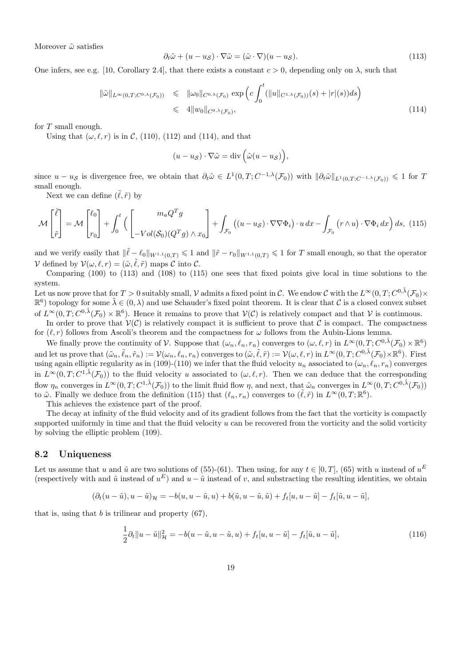Moreover  $\tilde{\omega}$  satisfies

$$
\partial_t \tilde{\omega} + (u - u_{\mathcal{S}}) \cdot \nabla \tilde{\omega} = (\tilde{\omega} \cdot \nabla)(u - u_{\mathcal{S}}). \tag{113}
$$

One infers, see e.g. [10, Corollary 2.4], that there exists a constant  $c > 0$ , depending only on  $\lambda$ , such that

$$
\|\tilde{\omega}\|_{L^{\infty}(0,T;C^{0,\lambda}(\mathcal{F}_0))} \leqslant \| \omega_0 \|_{C^{0,\lambda}(\mathcal{F}_0)} \exp \left( c \int_0^t (||u||_{C^{1,\lambda}(\mathcal{F}_0))}(s) + |r|(s)) ds \right)
$$
  

$$
\leqslant 4 \| w_0 \|_{C^{0,\lambda}(\mathcal{F}_0)}, \tag{114}
$$

for T small enough.

Using that  $(\omega, \ell, r)$  is in C, (110), (112) and (114), and that

$$
(u - u_{\mathcal{S}}) \cdot \nabla \tilde{\omega} = \text{div} \left( \tilde{\omega} (u - u_{\mathcal{S}}) \right),
$$

since  $u - u_{\mathcal{S}}$  is divergence free, we obtain that  $\partial_t \tilde{\omega} \in L^1(0,T;C^{-1,\lambda}(\mathcal{F}_0))$  with  $\|\partial_t \tilde{\omega}\|_{L^1(0,T;C^{-1,\lambda}(\mathcal{F}_0))} \leq 1$  for T small enough.

Next we can define  $(\tilde{\ell}, \tilde{r})$  by

$$
\mathcal{M}\begin{bmatrix} \tilde{\ell} \\ \tilde{r} \end{bmatrix} = \mathcal{M}\begin{bmatrix} \ell_0 \\ r_0 \end{bmatrix} + \int_0^t \left( \begin{bmatrix} m_a Q^T g \\ -Vol(\mathcal{S}_0)(Q^T g) \wedge x_0 \end{bmatrix} + \int_{\mathcal{F}_0} \left( (u - u_S) \cdot \nabla \nabla \Phi_i \right) \cdot u \, dx - \int_{\mathcal{F}_0} \left( r \wedge u \right) \cdot \nabla \Phi_i \, dx \right) ds, \tag{115}
$$

and we verify easily that  $\|\tilde{\ell} - \ell_0\|_{W^{1,1}(0,T)} \leq 1$  and  $\|\tilde{r} - r_0\|_{W^{1,1}(0,T)} \leq 1$  for T small enough, so that the operator V defined by  $V(\omega, \ell, r) = (\tilde{\omega}, \tilde{\ell}, \tilde{r})$  maps C into C.

Comparing (100) to (113) and (108) to (115) one sees that fixed points give local in time solutions to the system.

Let us now prove that for  $T>0$  suitably small,  ${\mathcal V}$  admits a fixed point in  ${\mathcal C}$ . We endow  ${\mathcal C}$  with the  $L^\infty(0,T;C^{0,\tilde{\lambda}}(\mathcal F_0)\times$  $\mathbb{R}^6$  topology for some  $\tilde{\lambda} \in (0, \lambda)$  and use Schauder's fixed point theorem. It is clear that C is a closed convex subset of  $L^{\infty}(0,T; C^{0,\tilde{\lambda}}(\mathcal{F}_0)\times \mathbb{R}^6)$ . Hence it remains to prove that  $\mathcal{V}(\mathcal{C})$  is relatively compact and that  $\mathcal{V}$  is continuous.

In order to prove that  $V(\mathcal{C})$  is relatively compact it is sufficient to prove that  $\mathcal{C}$  is compact. The compactness for  $(\ell, r)$  follows from Ascoli's theorem and the compactness for  $\omega$  follows from the Aubin-Lions lemma.

We finally prove the continuity of V. Suppose that  $(\omega_n, \ell_n, r_n)$  converges to  $(\omega, \ell, r)$  in  $L^{\infty}(0, T; C^{0,\tilde{\lambda}}(\mathcal{F}_0) \times \mathbb{R}^6)$ and let us prove that  $(\tilde{\omega}_n, \tilde{\ell}_n, \tilde{r}_n) := \mathcal{V}(\omega_n, \ell_n, r_n)$  converges to  $(\tilde{\omega}, \tilde{\ell}, \tilde{r}) := \mathcal{V}(\omega, \ell, r)$  in  $L^{\infty}(0, T; C^{0, \tilde{\lambda}}(\mathcal{F}_0) \times \mathbb{R}^6)$ . First using again elliptic regularity as in (109)-(110) we infer that the fluid velocity  $u_n$  associated to  $(\omega_n, \ell_n, r_n)$  converges in  $L^{\infty}(0,T; C^{1,\tilde{\lambda}}(\mathcal{F}_0))$  to the fluid velocity u associated to  $(\omega,\ell,r)$ . Then we can deduce that the corresponding flow  $\eta_n$  converges in  $L^{\infty}(0,T; C^{1,\tilde{\lambda}}(\mathcal{F}_0))$  to the limit fluid flow  $\eta$ , and next, that  $\tilde{\omega}_n$  converges in  $L^{\infty}(0,T; C^{0,\tilde{\lambda}}(\mathcal{F}_0))$ to  $\tilde{\omega}$ . Finally we deduce from the definition (115) that  $(\ell_n, r_n)$  converges to  $(\tilde{\ell}, \tilde{r})$  in  $L^{\infty}(0, T; \mathbb{R}^6)$ .

This achieves the existence part of the proof.

The decay at infinity of the fluid velocity and of its gradient follows from the fact that the vorticity is compactly supported uniformly in time and that the fluid velocity  $u$  can be recovered from the vorticity and the solid vorticity by solving the elliptic problem (109).

#### 8.2 Uniqueness

Let us assume that u and  $\tilde{u}$  are two solutions of (55)-(61). Then using, for any  $t \in [0, T]$ , (65) with u instead of  $u^E$ (respectively with and  $\tilde{u}$  instead of  $u^E$ ) and  $u - \tilde{u}$  instead of v, and substracting the resulting identities, we obtain

$$
(\partial_t(u-\tilde{u}),u-\tilde{u})_{\mathcal{H}}=-b(u,u-\tilde{u},u)+b(\tilde{u},u-\tilde{u},\tilde{u})+f_t[u,u-\tilde{u}]-f_t[\tilde{u},u-\tilde{u}],
$$

that is, using that  $b$  is trilinear and property  $(67)$ ,

$$
\frac{1}{2}\partial_t \|u - \tilde{u}\|_{\mathcal{H}}^2 = -b(u - \tilde{u}, u - \tilde{u}, u) + f_t[u, u - \tilde{u}] - f_t[\tilde{u}, u - \tilde{u}],
$$
\n(116)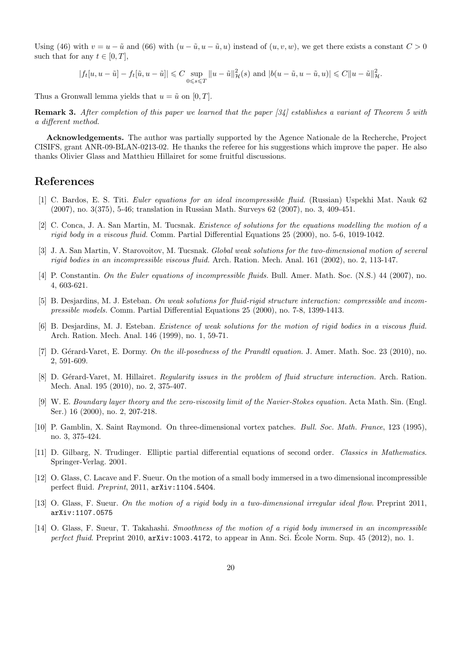Using (46) with  $v = u - \tilde{u}$  and (66) with  $(u - \tilde{u}, u - \tilde{u}, u)$  instead of  $(u, v, w)$ , we get there exists a constant  $C > 0$ such that for any  $t \in [0, T]$ ,

$$
|f_t[u, u - \tilde{u}] - f_t[\tilde{u}, u - \tilde{u}]] \leqslant C \sup_{0 \leqslant s \leqslant T} ||u - \tilde{u}||^2_{\mathcal{H}}(s) \text{ and } |b(u - \tilde{u}, u - \tilde{u}, u)| \leqslant C ||u - \tilde{u}||^2_{\mathcal{H}}.
$$

Thus a Gronwall lemma yields that  $u = \tilde{u}$  on [0, T].

Remark 3. After completion of this paper we learned that the paper [34] establishes a variant of Theorem 5 with a different method.

Acknowledgements. The author was partially supported by the Agence Nationale de la Recherche, Project CISIFS, grant ANR-09-BLAN-0213-02. He thanks the referee for his suggestions which improve the paper. He also thanks Olivier Glass and Matthieu Hillairet for some fruitful discussions.

### References

- [1] C. Bardos, E. S. Titi. Euler equations for an ideal incompressible fluid. (Russian) Uspekhi Mat. Nauk 62 (2007), no. 3(375), 5-46; translation in Russian Math. Surveys 62 (2007), no. 3, 409-451.
- [2] C. Conca, J. A. San Martin, M. Tucsnak. Existence of solutions for the equations modelling the motion of a rigid body in a viscous fluid. Comm. Partial Differential Equations 25 (2000), no. 5-6, 1019-1042.
- [3] J. A. San Martin, V. Starovoitov, M. Tucsnak. Global weak solutions for the two-dimensional motion of several rigid bodies in an incompressible viscous fluid. Arch. Ration. Mech. Anal. 161 (2002), no. 2, 113-147.
- [4] P. Constantin. On the Euler equations of incompressible fluids. Bull. Amer. Math. Soc. (N.S.) 44 (2007), no. 4, 603-621.
- [5] B. Desjardins, M. J. Esteban. On weak solutions for fluid-rigid structure interaction: compressible and incompressible models. Comm. Partial Differential Equations 25 (2000), no. 7-8, 1399-1413.
- [6] B. Desjardins, M. J. Esteban. Existence of weak solutions for the motion of rigid bodies in a viscous fluid. Arch. Ration. Mech. Anal. 146 (1999), no. 1, 59-71.
- [7] D. Gérard-Varet, E. Dormy. On the ill-posedness of the Prandtl equation. J. Amer. Math. Soc. 23 (2010), no. 2, 591-609.
- [8] D. Gérard-Varet, M. Hillairet. Regularity issues in the problem of fluid structure interaction. Arch. Ration. Mech. Anal. 195 (2010), no. 2, 375-407.
- [9] W. E. Boundary layer theory and the zero-viscosity limit of the Navier-Stokes equation. Acta Math. Sin. (Engl. Ser.) 16 (2000), no. 2, 207-218.
- [10] P. Gamblin, X. Saint Raymond. On three-dimensional vortex patches. Bull. Soc. Math. France, 123 (1995), no. 3, 375-424.
- [11] D. Gilbarg, N. Trudinger. Elliptic partial differential equations of second order. Classics in Mathematics. Springer-Verlag. 2001.
- [12] O. Glass, C. Lacave and F. Sueur. On the motion of a small body immersed in a two dimensional incompressible perfect fluid. Preprint, 2011, arXiv:1104.5404.
- [13] O. Glass, F. Sueur. On the motion of a rigid body in a two-dimensional irregular ideal flow. Preprint 2011, arXiv:1107.0575
- [14] O. Glass, F. Sueur, T. Takahashi. Smoothness of the motion of a rigid body immersed in an incompressible perfect fluid. Preprint 2010,  $arXiv:1003.4172$ , to appear in Ann. Sci. Ecole Norm. Sup. 45 (2012), no. 1.